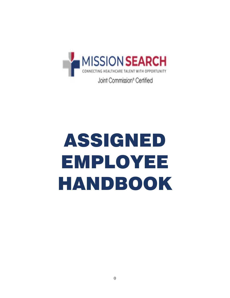

# ASSIGNED EMPLOYEE HANDBOOK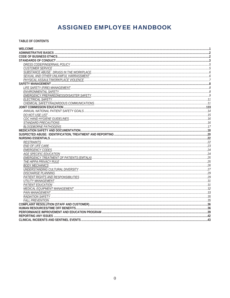# **ASSIGNED EMPLOYEE HANDBOOK**

TABLE OF CONTENTS

| EWURONMENTAL SAEETY |     |
|---------------------|-----|
|                     |     |
|                     |     |
|                     |     |
|                     |     |
|                     |     |
|                     |     |
|                     |     |
|                     |     |
|                     |     |
|                     |     |
|                     |     |
|                     |     |
|                     |     |
|                     |     |
|                     |     |
|                     |     |
|                     |     |
|                     |     |
|                     |     |
|                     |     |
|                     |     |
|                     |     |
|                     |     |
|                     |     |
|                     |     |
|                     |     |
|                     |     |
|                     |     |
|                     |     |
|                     |     |
|                     |     |
|                     |     |
|                     | .43 |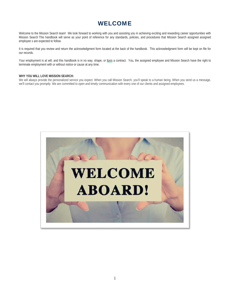# WELCOME

Welcome to the Mission Search team! We look forward to working with you and assisting you in achieving exciting and rewarding career opportunities with Mission Search This handbook will serve as your point of reference for any standards, policies, and procedures that Mission Search assigned assigned employee s are expected to follow.

It is required that you review and return the acknowledgment form located at the back of the handbook. This acknowledgment form will be kept on file for our records.

Your employment is at will, and this handbook is in no way, shape, or form a contract. You, the assigned employee and Mission Search have the right to terminate employment with or without notice or cause at any time.

#### **WHY YOU WILL LOVE MISSION SEARCH:**

We will always provide the personalized service you expect. When you call Mission Search, you'll speak to a human being. When you send us a message, we'll contact you promptly. We are committed to open and timely communication with every one of our clients and assigned employees.

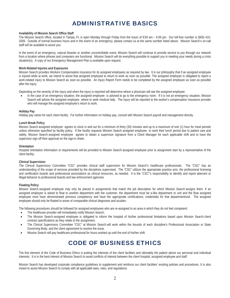# ADMINISTRATIVE BASICS

#### **Availability of Mission Search Office Staff**

The Mission Search office, located in Tampa, FL is open Monday through Friday from the hours of 9:00 am – 6:00 pm. Our toll-free number is (800) 410- 2009. Outside of normal business hours and in the event of an emergency, please contact us at the same number listed above. Mission Search's on-call staff will be available to assist you.

In the event of an emergency, natural disaster or another uncontrollable event, Mission Search will continue to provide service to you through our network from a location where phones and computers are functional. Mission Search will do everything possible to support you in meeting your needs during a crisis situation(s). A copy of our Emergency Management Plan is available upon request.

#### **Work-Related Injuries and Exposures**

Mission Search provides Workers Compensation insurance for its assigned employees as required by law. It is our philosophy that if an assigned employee is injured while at work, we intend to assist that assigned employee to return to work as soon as possible. The assigned employee is obligated to report a work-related injury to Mission Search as soon as possible. An Injury Report Form needs to be completed by the assigned employee as soon as possible after the injury.

Depending on the severity of the injury and when the injury is reported will determine where a physician will see the assigned employee.

In the case of an emergency situation, the assigned employee is advised to go to the emergency room. If it is not an emergency situation, Mission Search will advise the assigned employee where to seek medical help. The injury will be reported to the worker's compensation insurance provider who will manage the assigned employee's return to work.

#### **Holiday Pay**

Holiday pay varies for each client facility. For further information on holiday pay, consult with Mission Search payroll and management directly.

#### **Lunch Break Policy**

Mission Search assigned employee agrees to clock in and out for a minimum of thirty (30) minutes and up to a maximum of one (1) hour for meal periods unless otherwise specified by facility policy. If the facility requests Mission Search assigned employee to work their lunch period due to patient care and safety, Mission Search assigned employee agrees to obtain a supervisor signature from a Client Manager for each applicable shift and to have the supervisor sign off their approval on the sign-in sheet.

#### **Orientation**

Hospital orientation information or requirements will be provided to Mission Search assigned employee prior to assignment start by a representative of the client facility.

#### **Clinical Supervision**

The Clinical Supervisory Committee "CSC" provides clinical staff supervision for Mission Search's healthcare professionals. The "CSC" has an understanding of the scope of services provided by the disciplines supervised. The "CSC" utilizes the appropriate practice acts, the professional licensing and certification boards and professional associations as clinical resources, as needed. It is the "CSC"'s responsibility to identify and report aberrant or illegal behavior to professional boards and law enforcement agencies.

#### **Floating Policy**

Mission Search assigned employee may only be placed in assignments that match the job description for which Mission Search assigns them. If an assigned employee is asked to float to another department with the customer, the department must be a-like department or unit and the float assigned employee must have demonstrated previous competency and have the appropriate certifications, credentials for that department/unit. The assigned employee should only be floated to areas of comparable clinical diagnoses and acuities.

The following procedures should be followed for assigned employees who are re-assigned to an area in which they do not feel competent:

- The healthcare provider will immediately notify Mission Search,
- The Mission Search assigned employee is obligated to inform the hospital of his/her professional limitations based upon Mission Search client contract specifications as they relate to the assignment.
- The Clinical Supervisory Committee "CSC" at Mission Search will work within the bounds of each discipline's Professional Association or State Governing Body, and the client agreement to resolve the issue.
- Mission Search will pay healthcare professional for hours worked up until the end of his/her shift.

# CODE OF BUSINESS ETHICS

The first element of the Code of Business Ethics is putting the interests of the client facilities and ultimately the patient above our personal and individual interests. It is in the best interest of Mission Search to avoid conflicts of interest between the client hospital, assigned employee and staff.

Mission Search has developed corporate compliance guidelines to supplement and reinforce our client facilities' existing policies and procedures. It is also meant to assist Mission Search to comply with all applicable laws, rules, and regulations.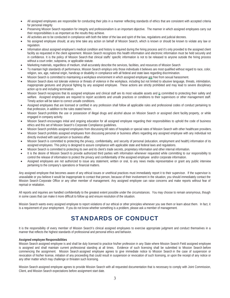- All assigned employees are responsible for conducting their jobs in a manner reflecting standards of ethics that are consistent with accepted criteria for personal integrity
- Preserving Mission Search reputation for integrity and professionalism is an important objective. The manner in which assigned employees carry out their responsibilities is as important as the results they achieve.
- All activities are to be conducted in compliance with both the letter of the law and spirit of the law, regulations and judicial decrees.
- No assigned employee should, at any time take any action on behalf of Mission Search, which is known or should be known to violate any law or regulation.
- Information about assigned employee's medical condition and history is required during the hiring process and it's only provided to the assigned client facility as requested in the client agreement. Mission Search recognizes this health information and electronic information must be held securely and in confidence. It is the policy of Mission Search that clinical staffs' specific information is not to be released to anyone outside the hiring process without a court order, subpoena, or applicable statute.
- Marketing materials, regardless of medium, shall accurately describe the services, facilities, and resources of Mission Search
- To maintain high standards of performance, Mission Search employs only those individuals it believes are most qualified without regard to race, color, religion, sex, age, national origin, handicap or disability in compliance with all federal and state laws regarding discrimination.
- Mission Search is committed to maintaining a workplace environment in which assigned employee are free from sexual harassment.
- Mission Search does not tolerate violence or threats of violence in the workplace, including but not limited to abusive language, threats, intimidation, inappropriate gestures and physical fighting by any assigned employee. These actions are strictly prohibited and may lead to severe disciplinary action up to and including termination.
- Mission Search recognizes that its assigned employee and clinical staff are its most valuable assets and is committed to protecting their safety and welfare. Assigned employees are required to report accidents and unsafe practices or conditions to their supervisors or other management staff. Timely action will be taken to correct unsafe conditions.
- Assigned employees that are licensed or certified in any profession shall follow all applicable rules and professional codes of conduct pertaining to that profession, in addition to the rules stated herein.
- x Mission Search prohibits the use or possession of illegal drugs and alcohol abuse on Mission Search or assigned client facility property, or while engaged in company activity.
- x Mission Search encourages initial and ongoing education for all assigned employee regarding their responsibilities to uphold the code of business ethics and this set of Mission Search's Corporate Compliance guidelines.
- x Mission Search prohibits assigned employees from discussing bill rates of hospitals or special rates of Mission Search with other healthcare providers.
- x Mission Search prohibits assigned employees from discussing personal or business affairs regarding any assigned employee with any individual not directly involved with said person or business affair.
- Mission Search is committed to protecting the privacy, confidentiality, and security of personal (education, employment and health) information of its assigned employees. This policy is designed to assure compliance with applicable state and federal laws and regulations.
- x Mission Search is committed to protecting its own and its client's trade secrets, proprietary information and other internal information.
- It is the desire of Mission Search to provide authorized third parties with information whenever requested while committing to our responsibility to control the release of information to protect the privacy and confidentiality of the assigned employee and/or corporate information.
- Assigned employees are not authorized to issue any statement, written or oral, to any news media representative or grant any public interview pertaining to the company's operations or financial matters.

Any assigned employee that becomes aware of any ethical issues or unethical practices must immediately report it to their supervisor. If the supervisor is unavailable or you believe it would be inappropriate to contact that person, because of their involvement in the situation, you should immediately contact the Mission Search Corporate Office or any other member of management. Any assigned employee can raise concerns and make reports without fear of reprisal or retaliation.

All reports and inquiries are handled confidentially to the greatest extent possible under the circumstances. You may choose to remain anonymous, though in some cases that can make it more difficult to follow up and ensure resolution of the situation.

Mission Search wants every assigned employee to report violations of our ethical or other principles whenever you see them or learn about them. In fact, it is a requirement of your employment. If you do not know whether something is a problem, please ask a member of management.

# STANDARDS OF CONDUCT

It is the responsibility of every member of Mission Search's clinical assigned employees to exercise appropriate judgment and conduct themselves in a manner that reflects the highest standards of professional and personal ethics and behavior.

#### **Assigned employee Responsibilities**

Mission Search assigned employee is and shall be duly licensed to practice his/her profession in any State where Mission Search Field assigned employee is assigned and shall maintain current professional standing at all times. Evidence of such licensing shall be submitted to Mission Search before commencing the assignment. Mission Search assigned employee agrees to give immediate notice to Mission Search in the case of suspension or revocation of his/her license, initiation of any proceeding that could result in suspension or revocation of such licensing, or upon the receipt of any notice or any other matter which may challenge or threaten such licensing.

Mission Search assigned employee agrees to provide Mission Search with all requested documentation that is necessary to comply with Joint Commission, Client, and Mission Search expectations before assignment start date.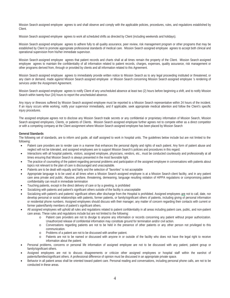Mission Search assigned employee agrees to and shall observe and comply with the applicable policies, procedures, rules, and regulations established by Client.

Mission Search assigned employee agrees to work all scheduled shifts as directed by Client (including weekends and holidays).

Mission Search assigned employee agrees to adhere fully to all quality assurance, peer review, risk management program or other programs that may be established by Client to promote appropriate professional standards of medical care. Mission Search assigned employee agrees to accept both clinical and operational supervision from his/her immediate supervisor.

Mission Search assigned employee agrees that patient records and charts shall at all times remain the property of the Client. Mission Search assigned employee agrees to maintain the confidentiality of all information related to patient records, charges, expenses, quality assurance, risk management or other programs derived from, through or provided by clients and all information related to this Agreement.

Mission Search assigned employee agrees to immediately provide written notice to Mission Search as to any legal proceeding instituted or threatened, or any claim or demand, made against Mission Search assigned employee or Mission Search concerning Mission Search assigned employee 's rendering of services under the Assignment Agreement.

Mission Search assigned employee agrees to notify Client of any unscheduled absence at least two (2) hours before beginning a shift, and to notify Mission Search within twenty-four (24) hours to report the unscheduled absence.

Any injury or illnesses suffered by Mission Search assigned employee must be reported to a Mission Search representative within 24 hours of the incident. If an injury occurs while working, notify your supervisor immediately, and if applicable, seek appropriate medical attention and follow the Client's specific injury procedures.

The assigned employee agrees not to disclose any Mission Search trade secrets or any confidential or proprietary information of Mission Search, Mission Search assigned employees, Clients, or patients of Clients. Mission Search assigned employee further agrees not to compete either as a direct competitor or with a competing company at the Client assignment where Mission Search assigned employee has been placed by Mission Search

#### **General Standards**

The following set of standards, are to inform and guide, all staff assigned to work in hospital units. The guidelines below include but are not limited to the following:

- Patient care providers are to render care in a manner that enhances the personal dignity and rights of each patient. Any form of patient abuse and neglect will not be tolerated, and assigned employees are to support Mission Search's policies and procedures in this regard.
- Interactions with all hospital patients, visitors, assigned employee, physicians, vendors, etc., must be conducted courteously and professionally at all times ensuring that Mission Search is always presented in the most favorable light.
- The practice of counseling of the patient regarding personal problems and participation of the assigned employee in conversations with patients about topics not relevant to the plan of care is discouraged and unacceptable.
- Patients are to be dealt with equally and fairly and the selection of "favorites" is not acceptable
- Appropriate language is to be used at all times when a Mission Search assigned employee is at a Mission Search client facility, and in any patient care area private and public. Abusive, profane, threatening, demeaning, language resulting violation of HIPPA regulations or compromising patient confidentiality can result in immediate termination
- Touching patients, except in the direct delivery of care or by a greeting, is prohibited
- Socializing with patients and patient's significant others outside of the facility is unacceptable
- Socializing with patient's and patients' significant others after discharge from the Hospital is prohibited. Assigned employees are not to call, date, nor develop personal or social relationships with patients, former patients, or family/significant others of patients, including giving of personal information or residential phone numbers. Assigned employees should discuss with their manager, any matter of concern regarding their contacts with current or former patient/family members of patient's significant others.
- All assigned employees will uphold all rules and regulations related to patient confidentiality in all areas including patient care, public, and non-patient care areas. These rules and regulations include but are not limited to the following:
	- o Patient care providers are not to divulge to anyone any information or records concerning any patient without proper authorization. Unauthorized release of confidential information may constitute ground for termination and/or civil action.
	- o Conversations regarding patients are not to be held in the presence of other patients or any other person not privileged to this communication.
	- o Problems of a patient are not to be discussed with another patient.
	- o Patients are not to be named or discussed with anyone in or outside of the facility who does not have the legal right to receive information about the patient.
- Personal problems, concerns or personal life information of assigned employee are not to be discussed with any patient, patient group or family/significant others.
- Assigned employees are not to discuss disagreements or criticize other assigned employees or hospital staff within the earshot of patients/families/significant others. A professional difference of opinion must be discussed in an appropriate private space.
- Behavior in all patient areas shall be oriented toward patient care. Personal reading and conversations, including personal phone calls, are not to be conducted in these areas.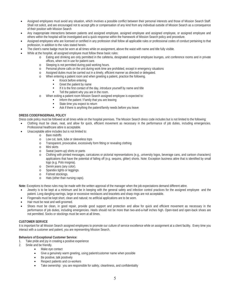- Assigned employees must avoid any situation, which involves a possible conflict between their personal interests and those of Mission Search Staff. Shall not solicit, and are encouraged not to accept gifts or compensation of any kind from any individual outside of Mission Search as a consequence of their position with Mission Search
- Any inappropriate interactions between patients and assigned employee, assigned employee and assigned employee, or assigned employee and others within the hospital will be investigated and a quick response within the framework of Mission Search policy and procedure.
- Assigned employees who are licensed or certified in any profession shall follow all applicable rules or professional codes of conduct pertaining to that profession, in addition to the rules stated herein.
- The client's name badge must be worn at all times while on assignment, above the waist with name and title fully visible.
- While at the hospital, all assigned employee must follow these basic rules:
	- o Eating and drinking are only permitted in the cafeteria, designated assigned employee lounges, unit conference rooms and in private offices, when not in use for patient care.
	- o Sleeping is not permitted during paid working hours.
	- o Personal phone calls on the unit during work time are prohibited, except in emergency situations
	- o Assigned duties must be carried out in a timely, efficient manner as directed or delegated.
	- o When entering a patient room and when greeting a patient, practice the following.
		- Knock before entering
		- Greet the patient by name
		- If it is the first contact of the day, introduce yourself by name and title
		- **Tell the patient why you are in the room.**
	- o When exiting a patient room Mission Search assigned employee is expected to:
		- Inform the patient / Family that you are leaving
		- State time you expect to return
		- Ask if there is anything the patient/family needs before you leave

#### **DRESS CODE/FINGERNAIL POLICY**

Dress code policy must be followed at all times while on the hospital premises. The Mission Search dress code includes but is not limited to the following:

- Clothing must be clean, neat, and allow for quick, efficient movement as necessary in the performance of job duties, including emergencies. Professional healthcare attire is acceptable.
- Unacceptable attire includes but is not limited to:
	- o Bare midriffs
		- o Low cut, tank, tube or sleeveless tops
	- o Transparent, provocative, excessively form fitting or revealing clothing
	- o Mini skirts
	- o Sweat (warm-up) shirts or pants
	- o Clothing with printed messages, caricatures or pictorial representations (e.g., university logos, beverage cans, and cartoon characters) applications that have the potential of falling off (e.g. sequins, glitter) shorts. Note: Exception business attire that is identified by small logo (e.g. Polo insignia).
	- o Denim jeans (any color).
	- o Spandex tights or leggings.
	- o Fishnet stockings.
	- o Hats (other than nursing caps).

**Note:** Exceptions to these rules may be made with the written approval of the manager when the job expectations demand different attire.

- Jewelry is to be kept at a minimum and be in keeping with the general safety and infection control practices for the assigned employee and the patient. Long dangling earrings, large or excessive necklaces and bracelets and sharp rings are not acceptable.
- Fingernails must be kept short, clean and natural; no artificial applications are to be worn.
- Hair must be neat and well-groomed.
- Shoes must be clean, in good repair, provide good support and protection and allow for quick and efficient movement as necessary in the performance of job duties, including emergencies. Heels should not be more than two-and-a-half inches high. Open-toed and open-back shoes are not permitted. Socks or stockings must be worn at all times.

#### **CUSTOMER SERVICE**

It is important for all Mission Search assigned employees to promote our culture of service excellence while on assignment at a client facility. Every time you interact with a customer and patient, you are representing Mission Search.

#### **Behaviors of Exceptional Customer Service:**

- 1. Take pride and joy in creating a positive experience
- 2. Smile and be friendly.
	- Make eye contact
	- Give a genuinely warm greeting, using patient/customer name when possible
	- Be positive, talk positively
	- Respect patients and co-workers
	- Take ownership: you are responsible for safety, cleanliness, and confidentiality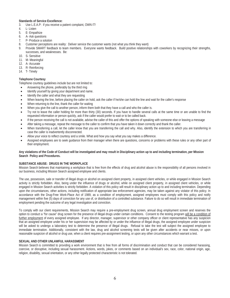# **Standards of Service Excellence:**

- 3. Use L.E.A.P: if you receive a patient complaint, OWN IT!
- 4. L- Listen
- 5. E- Empathize
- 6. A- Ask questions
- 7. P- Produce a solution
- 8. Customer perceptions are reality: Deliver service the customer wants (not what you think they want)

9. Provide SMART feedback to team members. Everyone wants feedback. Build positive relationships with coworkers by recognizing their strengths, successes, and weaknesses. Be:

- 10. S- Sensitive
- 11. M- Meaningful
- 12. A- Accurate
- 13. R- Reinforcing
- 14. T- Timely

# **Telephone Courtesy**

Telephone courtesy guidelines include but are not limited to:

- Answering the phone, preferably by the third ring
- Identify yourself by giving your department and name.
- Identify the caller and what they are requesting
- When leaving the line, before placing the caller on hold, ask the caller if he/she can hold the line and wait for the caller's response
- When returning to the line, thank the caller for waiting
- When you give the call to another person, inform them both that they have a call and who the caller is.
- Try not to leave the caller holding for more than thirty (30) seconds. If you have to handle several calls at the same time or are unable to find the requested information or person quickly, ask if the caller would prefer to wait or to be called back.
- If the person receiving the call is not available, advise the caller of this and offer the options of speaking with someone else or leaving a message
- x After taking a message, repeat the message to the caller to confirm that you have taken it down correctly and thank the caller.
- x When transferring a call, let the caller know that you are transferring the call and why. Also, identify the extension to which you are transferring in case the caller is inadvertently disconnected.
- Allow your voice to reflect courtesy and a smile. What and how you say what you say makes a difference.
- Assigned employees are to seek guidance from their manager when there are guestions, concerns or problems with these rules or any other part of their employment.

#### **Any violations of the Code of Conduct will be investigated and may result in Disciplinary action up to and including termination, per Mission Search Policy and Procedures.**

#### **SUBSTANCE ABUSE: DRUGS IN THE WORKPLACE**

Mission Search believes that maintaining a workplace that is free from the effects of drug and alcohol abuse is the responsibility of all persons involved in our business, including Mission Search assigned employee and clients.

The use, possession, sale or transfer of illegal drugs or alcohol on assigned client property, in assigned client vehicles, or while engaged in Mission Search activity is strictly forbidden. Also, being under the influence of drugs or alcohol, while on assigned client property, in assigned client vehicles, or while engaged in Mission Search activities is strictly forbidden. A violation of this policy will result in disciplinary action up to and including termination. Depending upon the circumstances, other actions, including notification of appropriate law enforcement agencies, may be taken against any violator of this policy. In accordance with the Drug-Free Work-Place Act of 1989, as a condition of employment, assigned employees must comply with this policy and notify management within five (5) days of conviction for any use of, or distribution of a controlled substance. Failure to do so will result in immediate termination of employment pending the outcome of any legal investigation and conviction.

To comply with our client requirements, Mission Search may require a pre-employment drug screen, annual drug employment screen and reserves the option to conduct a "for cause" drug screen for the presence of illegal drugs under certain conditions. Consent to the testing program will be a condition of further employment of every assigned employee. If any director, manager, supervisor or other company officer or client representative has any suspicion that an assigned employee under his or her supervision may be affected by or under the influence of illegal drugs, the assigned employee under suspicion will be asked to undergo a laboratory test to determine the presence of illegal drugs. Refusal to take the test will subject the assigned employee to immediate termination. Additionally, consistent with the law, drug and alcohol screening tests will be given after accidents or near misses, or upon reasonable suspicion of alcohol or drug use, when a client requires pre-assignment testing, or upon any other circumstances which warrant a test.

# **SEXUAL AND OTHER UNLAWFUL HARASSMENT**

Mission Search is committed to providing a work environment that is free from all forms of discrimination and conduct that can be considered harassing, coercive, or disruptive, including sexual harassment. Actions, words, jokes, or comments based on an individual's sex, race, color, national origin, age, religion, disability, sexual orientation, or any other legally protected characteristic is not tolerated.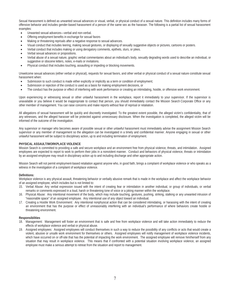Sexual Harassment is defined as unwanted sexual advances or visual, verbal, or physical conduct of a sexual nature. This definition includes many forms of offensive behavior and includes gender-based harassment of a person of the same sex as the harasser. The following is a partial list of sexual harassment examples:

- Unwanted sexual advances—verbal and non-verbal.
- Offering employment benefits in exchange for sexual favors
- Making or threatening reprisals after a negative response to sexual advances.
- Visual conduct that includes leering, making sexual gestures, or displaying of sexually suggestive objects or pictures, cartoons or posters.
- Verbal conduct that includes making or using derogatory comments, epithets, slurs, or jokes.
- Verbal sexual advances or propositions.
- x Verbal abuse of a sexual nature, graphic verbal commentaries about an individual's body, sexually degrading words used to describe an individual, or suggestive or obscene letters, notes, e-mails or invitations.
- Physical conduct that includes touching, assaulting or impeding or blocking movements.

Unwelcome sexual advances (either verbal or physical), requests for sexual favors, and other verbal or physical conduct of a sexual nature constitute sexual harassment when:

- Submission to such conduct is made either explicitly or implicitly as a term or condition of employment;
- Submission or rejection of the conduct is used as a basis for making employment decisions, or
- The conduct has the purpose or effect of interfering with work performance or creating an intimidating, hostile, or offensive work environment.

Upon experiencing or witnessing sexual or other unlawful harassment in the workplace, report it immediately to your supervisor. If the supervisor is unavailable or you believe it would be inappropriate to contact that person, you should immediately contact the Mission Search Corporate Office or any other member of management. You can raise concerns and make reports without fear of reprisal or retaliation.

All allegations of sexual harassment will be quickly and discreetly investigated. To the greatest extent possible, the alleged victim's confidentiality, that of any witnesses, and the alleged harasser will be protected against unnecessary disclosure. When the investigation is completed, the alleged victim will be informed of the outcome of the investigation.

Any supervisor or manager who becomes aware of possible sexual or other unlawful harassment must immediately advise the assignment Mission Search supervisor or any member of management so the allegation can be investigated in a timely and confidential manner. Anyone engaging in sexual or other unlawful harassment will be subject to disciplinary action, up to and including termination of employment.

#### **PHYSICAL ASSAULT/WORKPLACE VIOLENCE**

Mission Search is committed to providing a safe and secure workplace and an environment free from physical violence, threats, and intimidation. Assigned employees are expected to report to work to perform their jobs in a nonviolent manner. Conduct and behaviors of physical violence, threats or intimidation by an assigned employee may result in disciplinary action up to and including discharge and other appropriate action.

Mission Search will not permit employment-based retaliation against anyone who, in good faith, brings a complaint of workplace violence or who speaks as a witness in the investigation of a complaint of workplace violence.

#### **Definitions:**

Workplace violence is any physical assault, threatening behavior or verbally abusive remark that is made in the workplace and affect the workplace behavior of an assigned employee, which includes but is not limited to:

- 15. Verbal Abuse: Any verbal expression issued with the intent of creating fear or intimidation in another individual, or group of individuals, or verbal remarks or comments expressed in a loud, harsh or threatening tone of voice or a joking manner within the workplace.
- 16. Physical Abuse: Any intentional movement of the body, which may include touching, gestures, pushing, striking, stalking or any unwanted intrusion of "reasonable space" of an assigned employee. Any intentional use of any object toward an individual.
- 17. Creating a Hostile Work Environment: Any intentional nonphysical action that can be considered intimidating, or harassing with the intent of creating an environment that has the purpose or effect of unreasonably interfering with an individual's performance of where behaviors create hostile or threatening environment.

#### **Responsibilities**

- 18. Management: Management will foster an environment that is safe and free from workplace violence and will take action immediately to reduce the effects of workplace violence and verbal or physical abuse.
- 19. Assigned employees: Assigned employees will conduct themselves in such a way to reduce the possibility of any conflicts or acts that would create a violent, abusive or unsafe work environment for themselves or others. Assigned employees will notify management of workplace violence incidents, which have occurred on or off-site that has the potential of impacting the work environment. The assigned employee will remove him/herself from any situation that may result in workplace violence. This means that if confronted with a potential situation involving workplace violence, an assigned employee must make a serious attempt to retreat from the situation and report to management.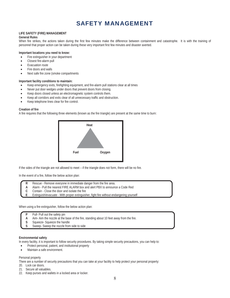# SAFETY MANAGEMENT

# **LIFE SAFETY (FIRE) MANAGEMENT**

# **General Rules**

When fire strikes, the actions taken during the first few minutes make the difference between containment and catastrophe. It is with the training of personnel that proper action can be taken during these very important first few minutes and disaster averted.

## **Important locations you need to know:**

- Fire extinguisher in your department
- Closest fire-alarm pull
- **Evacuation route**
- Fire doors and walls
- Next safe fire zone (smoke compartments

# **Important facility conditions to maintain:**

- x Keep emergency exits, firefighting equipment, and fire-alarm pull stations clear at all times
- Never put door wedges under doors that prevent doors from closing.
- Keep doors closed unless an electromagnetic system controls them.
- x Keep all corridors and exits clear of all unnecessary traffic and obstruction.
- x Keep telephone lines clear for fire control.

# **Creation of fire**

A fire requires that the following three elements (known as the fire triangle) are present at the same time to burn:



If the sides of the triangle are not allowed to meet – if the triangle does not form, there will be no fire.

In the event of a fire, follow the below action plan:

- **R** Rescue Remove everyone in immediate danger from the fire area.
- **A** Alarm Pull the nearest FIRE ALARM box and alert PBX to announce a Code Red<br>**C** Contain Close the door and isolate the fire
- **C** Contain Close the door and isolate the fire<br>**E** Extinguish/evacuate With proper extinguish
- **E** Extinguish/evacuate With proper extinguisher, fight fire without endangering yourself

When using a fire extinguisher, follow the below action plan:

- Pull- Pull out the safety pin
- **A** Aim- Aim the nozzle at the base of the fire, standing about 10 feet away from the fire.
- **S** Squeeze- Squeeze the handle<br> **S** Sweep- Sweep the nozzle from
- **S** Sweep- Sweep the nozzle from side to side

#### **Environmental safety**

In every facility, it is important to follow security procedures. By taking simple security precautions, you can help to:

- Protect personal, patient, and institutional property
- Maintain a safe environment.

# Personal property

There are a number of security precautions that you can take at your facility to help protect your personal property:

- 20. Lock car doors.
- 21. Secure all valuables.
- 22. Keep purses and wallets in a locked area or locker.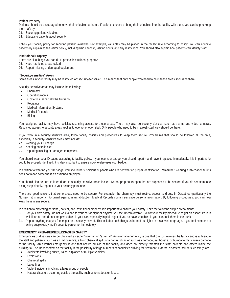# **Patient Property**

Patients should be encouraged to leave their valuables at home. If patients choose to bring their valuables into the facility with them, you can help to keep them safe by:

- 23. Securing patient valuables
- 24. Educating patients about security

Follow your facility policy for securing patient valuables. For example, valuables may be placed in the facility safe according to policy. You can educate patients by explaining the visitor policy, including who can visit, visiting hours, and any restrictions. You should also explain how patients can identify staff.

#### **Institutional Property**

There are also things you can do to protect institutional property:

- 25. Keep restricted areas locked
- 26. Report missing or damaged equipment.

#### **"Security-sensitive" Areas**

Some areas in your facility may be restricted or "security-sensitive." This means that only people who need to be in these areas should be there.

Security-sensitive areas may include the following:

- Pharmacy
- Operating rooms
- Obstetrics (especially the Nursery)
- Pediatrics
- **Medical Information Systems**
- Medical Records
- **Billing**

Your assigned facility may have policies restricting access to these areas. There may also be security devices, such as alarms and video cameras. Restricted access to security areas applies to everyone, even staff. Only people who need to be in a restricted area should be there.

If you work in a security-sensitive area, follow facility policies and procedures to keep them secure. Procedures that should be followed all the time, especially in security-sensitive areas may include:

- 27. Wearing your ID badge
- 28. Keeping doors locked
- 29. Reporting missing or damaged equipment.

You should wear your ID badge according to facility policy. If you lose your badge, you should report it and have it replaced immediately. It is important for you to be properly identified. It is also important to ensure no-one else uses your badge.

In addition to wearing your ID badge, you should be suspicious of people who are not wearing proper identification. Remember, wearing a lab coat or scrubs does not mean someone is an assigned employee.

You should also be sure to keep doors to security-sensitive areas locked. Do not prop doors open that are supposed to be secure. If you do see someone acting suspiciously, report it to your security personnel.

There are good reasons that some areas need to be secure. For example, the pharmacy must restrict access to drugs. In Obstetrics (particularly the Nursery), it is important to guard against infant abduction. Medical Records contain sensitive personal information. By following procedures, you can help keep these areas secure.

In addition to protecting personal, patient, and institutional property, it is important to ensure your safety. Take the following simple precautions:

- 30. For your own safety, do not walk alone to your car at night or anytime you feel uncomfortable. Follow your facility procedure to get an escort. Park in well-lit areas and do not keep valuables in your car, especially in plain sight. If you do have valuables in your car, lock them in the trunk.
- 31. Report anything that you feel might be a security hazard. This includes such things as burned out lights in a stairwell or garage. If you feel someone is acting suspiciously, notify security personnel immediately.

#### **EMERGENCY PREPAREDNESS/DISASTER SAFETY**

Emergencies or disasters can be classified as either "internal" or "external." An internal emergency is one that directly involves the facility and is a threat to the staff and patients, such as an in-house fire, a toxic chemical spill, or a natural disaster such as a tornado, earthquake, or hurricane that causes damage to the facility. An external emergency is one that occurs outside of the facility and does not directly threaten the staff, patients and others inside the building(s). The indirect effect on the facility is the possibility of large numbers of casualties arriving for treatment. External disasters include such things as:

- Accidents involving buses, trains, airplanes or multiple vehicles
- **Explosions**
- Chemical spills
- Large fires
- x Violent incidents involving a large group of people
- Natural disasters occurring outside the facility such as tornadoes or floods.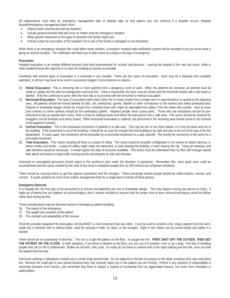All organizations must have an emergency management plan or disaster plan so that patient care can continue if a disaster occurs. Hospital disaster/emergency management plans must:

- Address both external and internal disasters
- Include general activities that will occur no matter what the emergency situation
- Allow specific responses to the types of disasters the facility might face
- Include a plan for evacuation of the hospital if all or part of the facility is damaged or non-functional.

When there is an emergency situation that could affect many workers, a hospital's hospital wide-notification system will be activated to let you know what is going on and the location. The notification will direct you to take action according to the type of emergency.

#### **Evacuation**

Hospital evacuation is an entirely different process than that recommended for schools and factories. Leaving the hospital is the very last resort, while in other establishments the objective is to clear the building as quickly as possible.

Familiarity with several types of evacuation is a necessity in any hospital. There are four types of evacuation. Each may be a separate and complete operation, or all four may have to be used in successive stages if circumstances so require.

- 32. **Partial Evacuation:** This is removing one or more patients from a dangerous room or ward. When the patients are removed, an attempt must be made to subdue the fire with the extinguisher and hose line. If this is impossible, the door must be closed and the threshold sealed with a wet towel or blanket. If the fire continues to grow, then the next step is to proceed with the horizontal or vertical evacuation.
- 33. **Horizontal Evacuation:** This type of evacuation takes place when fire or heavy smoke from a single room or ward threatens to spread to the adjoining area. All patients should be moved laterally by bed, cart, wheelchair, gurney, blanket or other conveyance to the nearest and safest protected area. Patients in immediate danger should be moved first, including those who might be separated from safety if the fire enters the corridor. Next to move (and contrary to some opinion) should be the ambulatory patient. Helpless people never cause panic. Those who are ambulatory should be preinstructed to line up outside their rooms, form a chain by holding hands and follow the lead person into a safe area. The rooms should be checked for stragglers and all windows and doors closed. When horizontal evacuation is ordered, the personnel in the receiving area should assist in the removal of the patients if needed.
- 34. **Vertical Evacuation:** This is the downward movement of patients to a safe area. This may be one or two floors below, or it may be down and out of the building. If the movement is out of the building, it should be an area far enough from the building to be safe and also to be out of the way of the fire department. In most cases, this movement will be preceded by a horizontal movement to a safe stairwell. The priority for movement is the same for a horizontal movement.
- 35. **Total Evacuation:** This means vacating all floors to a place of safety. The cause would be possible conflagration or an enemy air attack warning, or dense smoke and fumes. A place of safety might mean the basement, or even leaving the building, or even leaving the city. Using all stairways and safe elevators would be necessary. It would require the help of everyone available. This action must be undertaken floor by floor with enough trained help above and below to keep traffic moving quickly and properly by stair and elevator.

Untrained or unassigned personnel should report to the workforce pool under the direction of personnel. Remember this, more good work could be accomplished and less panic created by the work of two dozen competent people than by 300 anxious but untrained volunteers.

There should be carrying teams to get the patients downstairs and fire escapes. These practically trained people should be called loaders, movers, and carriers. It would certainly be much more orderly arrangement than for a single team to tackle all three phases.

#### **Emergency Removal**

In a hospital fire, the first duty of the personnel is to remove the patient(s) who are in immediate danger. This may require moving one person or many. If eight out of twenty-five are helpless as acknowledged, then it seems sensible to assume that the proper time to learn removal techniques would be before rather than during the fire.

Three considerations may be dominant factors in emergency patient handling:

- 36. The nature of the emergency
- 37. The weight and condition of the patient
- 38. The strength and adaptability of the rescuer

Of all the possible equipment for evacuation, the BLANKET is more important than any other. It can be used to smother a fire, drag a patient from the room, made into a stretcher with or without poles, used for carrying in halls, on stairs, or fire escapes. Eight or ten infants can be carried easily and safely in a blanket.

There should be no uncertainty in bed fires. The rule is to get the patient on the floor. In oxygen ten fire: **FIRST SHUT OFF THE OXYGEN, THEN GET THE PATIENT ON THE FLOOR.** In both situations, if you throw a blanket on the floor, you can use it to smother a fire or as a drag. The fear of handling people who are on fire is undeserved. Bodies do not burn, they cook. So really all you have to contend with is the night clothing and the hair, once you free the patient from the bed.

Personnel working in orthopedics should carry a small sharp pocket knife. Do not depend on the pair of scissors on the desk; someone else may need them, too. Remove the small pair in your pocket because they may severely injure you or the patient you are moving. If there is any question of responsibility in removing someone from traction, just remember that there is always a chance of recovering from an aggravated fracture, but never from cremation or asphyxiation.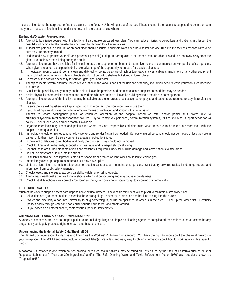In case of fire, do not be surprised to find the patient on the floor. He/she will get out of the bed if he/she can. If the patient is supposed to be in the room and you cannot see or feel him, look under the bed, or in the closets or elsewhere.

#### **Earthquake/Disaster Preparedness**

- 39. Attempt to familiarize yourself with the facility/unit earthquake preparedness plan. You can reduce injuries to co-workers and patients and lessen the possibility of panic after the disaster has occurred by planning for all eventualities.
- 40. At least two persons in each unit or on each floor should assume leadership roles after the disaster has occurred it is the facility's responsibility to be sure they are properly trained.
- 41. Understand how to protect yourself (and patients if possible) during an earthquake: Get under a desk or table or stand in a doorway away from the glass. Do not leave the building during the quake.
- 42. Attempt to locate and have available for immediate use, the telephone numbers and alternative means of communication with public safety agencies. When given a chance, participate in drills; take advantage of the opportunity to prepare for possible disasters.
- 43. In medication rooms, patient rooms, clean and dirty utility rooms, be aware of high or top-heavy shelves, cabinets, machinery or any other equipment that could fall during a tremor. Heavy objects should not be on top shelves but stored in lower places.
- 44. Be aware of the possible necessity to shut off lights, gas, and water.
- 45. Attempt to locate several alternate routes of evacuation in the various parts of the unit and or facility, should you need to leave your work area because it is unsafe.
- 46. Consider the possibility that you may not be able to leave the premises and attempt to locate supplies on hand that may be needed.
- 47. Assist physically compromised patients and co-workers who are unable to leave the building without the aid of another person.
- 48. Attempt to locate areas of the facility that may be suitable as shelter areas should assigned employee and patients are required to stay there after the disaster.
- 49. Be sure the fire extinguishers are kept in good working order and that you know how to use them.
- 50. If your building is windowless, consider alternative means of ventilation and lighting if the power is off.
- 51. Attempt to locate contingency plans for continued operation of the hospital based on total and/or partial shut downs due to building/utility/communication/transportation failures. Try to identify key personnel, communication systems, utilities and other support needs for 24 hours, 72 hours, one week and one month, if available.
- 52. Organize Interdisciplinary Team and patients for whom they are responsible and determine what steps are to be taken in accordance with the hospital's earthquake plans.
- 53. Immediately check for injuries among fellow workers and render first aid as needed. Seriously injured persons should not be moved unless they are in danger of further injury. Be sure your entire area is checked for injured.
- 54. In the event of fatalities, cover bodies and notify the coroner. They should not be moved.
- 55. Check for fires and fire hazards, especially for gas leaks and damaged electrical wiring.
- 56. See that these are turned off at main vales and switches if required. Check for building damage and move patients to safe areas.
- 57. Do not use elevators or to run into the street.
- 58. Flashlights should be used if power is off, since sparks from a match or light switch could ignite leaking gas.
- 59. Immediately clean up dangerous materials that may have spilled.
- 60. Limit use "land line" and mobile telephones for outside calls except in genuine emergencies. Use battery-powered radios for damage reports and information from public safety agencies.
- 61. Check closets and storage areas very carefully, watching for falling objects.
- 62. After a major earthquake prepare for aftershocks which will be occurring and may cause more damage.
- 63. Check that all telephones are correctly "on hook" so the system does not indicate "busy" to incoming or internal calls.

# **ELECTRICAL SAFETY**

Much of the work to support patient care depends on electrical devices. A few basic reminders will help you to maintain a safe work place.

- All outlets are "grounded" outlets, accepting three-prong plugs. Never try to introduce another kind of plug into the outlets.
- Water and electricity a bad mix. Never try to plug something in, or run an appliance, if water is in the area. Clean up the water first. Electricity passes easily through water and can cause serious harm to you and others around.
- If you notice an electrical hazard, contact your supervisor immediately.

# **CHEMICAL SAFETY/HAZARDOUS COMMUNICATIONS**

A variety of chemicals are used to support patient care, including things as simple as cleaning agents or complicated medications such as chemotherapy drugs. It is your legally protected right to know about these chemicals.

# **Understanding the Material Safety Data Sheet (MSDS)**

The Hazard Communication Standard is also known as the Workers' Right-to-Know standard. You have the right to know about the chemical hazards in your workplace. The MSDS and manufacturer's product label(s) are a fast and easy way to obtain information about how to work safely with a specific product.

A hazardous substance is one, which causes physical or related health hazards, may be found on Lists issued by the State of California such as: "List of Regulated Substances," "Pesticide 200 Ingredients" and/or "The Safe Drinking Water and Toxic Enforcement Act of 1986" also popularly known as "Proposition 65."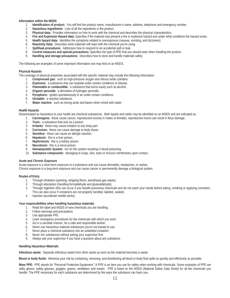#### **Information within the MSDS**

- 1. **Identification of product:** You will find the product name, manufacturer's name, address, telephone and emergency number.
- 2. **Hazardous ingredients:** Lists of all the ingredients in the product.
- 3. **Physical data:** Provides information on how to work with the chemical and describes the physical characteristics.
- 4. **Fire and Explosion Hazard data:** Specifies if the material may present a fire or explosive hazard and under what conditions the hazard exists.
- 5. **Health hazard data:** Identifies the symptoms related to overexposure (nausea, vomiting, and dizziness).
- 6. **Reactivity Data:** Describes what materials will react with the chemical you're using.
- 7. **Spill/leak procedures:** Addresses how to respond to an accidental spill or leak.
- 8. **Control measures and special precautions:** Specifies the type of PPE that you should wear when handling the product.
- 9. **Handling and storage precautions:** Describes how to store and handle materials safely.

The following are examples of some important information one may find on an MSDS.

#### **Physical Hazards**

The coverage of physical properties associated with the specific material may include the following information:

- 1. **Compressed gas:** such as high-pressure oxygen and nitrous oxide cylinders.
- 2. **Explosive:** a substance that can explode under certain conditions of release.
- 3. **Flammable or combustible:** a substance that burns easily such as alcohol.
- 4. **Organic peroxide:** a derivative of hydrogen peroxide.
- 5. **Pyrophoric:** ignites spontaneously in air under certain conditions.
- 6. **Unstable:** a reactive substance.
- 7. **Water reactive:** such as strong acids and bases when mixed with water.

#### **Health Hazards**

Disseminated as hazardous to your health are chemical substances. Both liquids and solids may be identified on an MSDS and are indicated as:

- 1. **Carcinogens:** these cause cancer, reproductive toxicity in males or females, reproductive toxins can result in fetus damage.
- 2. **Toxic:** a substance that acts as a poison.
- 3. **Irritants:** these may cause irritation to any body part.
- 4. **Corrosives:** these can cause damage to body tissue.
- 5. **Sensitive:** these can cause an allergic reaction.
- 6. **Hepatoxin**: this is a liver poison.
- 7. **Nephrotoxin:** this is a kidney poison.
- 8. **Neurotoxin:** this is a nerve poison.
- 9. **Hematopoietic System:** Act on the system resulting in blood poisoning.
- 10. **Substance compounds:** damaging to lungs, skin, eyes or mucous membranes upon contact.

#### **Acute and Chronic Exposure**

Acute exposure is a short-term exposure to a substance and can cause dermatitis, headaches, or rashes. Chronic exposure is a long-term exposure and can cause cancer or permanently damage a biological system.

#### **Routes of Entry**

- 1. Through inhalation (painting, stripping floors, anesthesia gas waste).
- 2. Through absorption (handling formaldehyde and glutaraldehyde).
- 3. Through ingestion (this can occur if you handle poisonous chemicals and do not wash your hands before eating, smoking or applying cosmetics. This can also occur if containers are not properly handled, labeled, sealed).
- 4. Injection (accidental needle sticks).

#### **Your responsibilities when handling hazardous materials**

- 1. Read the label and MSDS of new chemicals you are handling.
- 2. Follow warnings and precautions
- 3. Use appropriate PPE
- 4. Learn emergency procedures for the chemicals with which you work.
- 5. Act in a sensible manner, be a safe and responsible worker.
- 6. Never use hazardous material substances you're not trained to use
- 7. Never place a chemical substance into an unlabeled container.
- 8. Never mix substances without asking your supervisor first.
- 9. Always ask your supervisor if you have a question about any substance.

#### **Handling Hazardous Materials**

**Infectious waste:** Separate infectious waste from other waste as soon as the material becomes a waste

**Blood or body fluids:** Minimize your risk by containing, removing, and disinfecting all blood or body fluid spills as quickly and effectively as possible.

**Wear PPE:** PPE stands for "Personal Protective Equipment." A PPE is an item you use for safety when working with chemicals. Some examples of PPE are utility gloves, safety glasses, goggles, gowns, ventilators and masks PPE is listed on the MSDS (Material Safety Data Sheet) for all the chemicals you handle. The PPE necessary for each substance are determined by the ways the substance can harm you.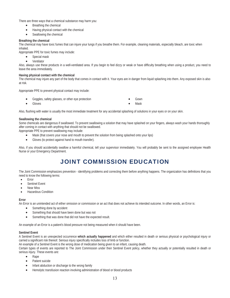There are three ways that a chemical substance may harm you:

- $\bullet$  Breathing the chemical
- Having physical contact with the chemical
- $\bullet$  Swallowing the chemical

# **Breathing the chemical**

The chemical may have toxic fumes that can injure your lungs if you breathe them. For example, cleaning materials, especially bleach, are toxic when inhaled.

Appropriate PPE for toxic fumes may include:

- Special mask
- **Ventilator**

Also, always use these products in a well-ventilated area. If you begin to feel dizzy or weak or have difficulty breathing when using a product, you need to leave the area immediately.

# **Having physical contact with the chemical**

The chemical may injure any part of the body that comes in contact with it. Your eyes are in danger from liquid splashing into them. Any exposed skin is also at risk.

Appropriate PPE to prevent physical contact may include:

- Goggles, safety glasses, or other eye protection **\* Gown** Gown
- Gloves **X** Mask

Also, flushing with water is usually the most immediate treatment for any accidental splashing of solutions in your eyes or on your skin.

# **Swallowing the chemical**

Some chemicals are dangerous if swallowed. To prevent swallowing a solution that may have splashed on your fingers, always wash your hands thoroughly after coming in contact with anything that should not be swallowed.

Appropriate PPE to prevent swallowing may include:

- Mask (that covers your nose and mouth to prevent the solution from being splashed onto your lips)
- Gloves (to protect against hand to mouth transfer).

Also, if you should accidentally swallow a harmful chemical, tell your supervisor immediately. You will probably be sent to the assigned employee Health Nurse or your Emergency Department.

# JOINT COMMISSION EDUCATION

The Joint Commission emphasizes prevention - identifying problems and correcting them before anything happens. The organization has definitions that you need to know the following terms:

- Error
- Sentinel Event
- Near Miss
- **Hazardous Condition**

# **Error**

An Error is an unintended act of either omission or commission or an act that does not achieve its intended outcome. In other words, an Error is:

- $\bullet$  Something done by accident
- Something that should have been done but was not
- Something that was done that did not have the expected result.

An example of an Error is a patient's blood pressure not being measured when it should have been.

#### **Sentinel Event**

A Sentinel Event is an unexpected occurrence **which actually happened** and which either resulted in death or serious physical or psychological injury or carried a significant risk thereof. Serious injury specifically includes loss of limb or function.

An example of a Sentinel Event is the wrong dose of medication being given to an infant, causing death.

Certain types of events are reported to The Joint Commission under their Sentinel Event policy, whether they actually or potentially resulted in death or serious injury. These events are:

- Rape
- Patient suicide
- Infant abduction or discharge to the wrong family
- Hemolytic transfusion reaction involving administration of blood or blood products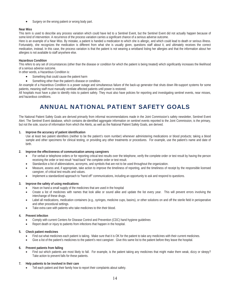• Surgery on the wrong patient or wrong body part.

# **Near Miss**

This term is used to describe any process variation which could have led to a Sentinel Event, but the Sentinel Event did not actually happen because of some kind of intervention. A recurrence of the process variation carries a significant chance of a serious adverse outcome.

Here is an example of a Near Miss. By mistake, a patient is handed a medication to which she is allergic, and which could lead to death or serious illness. Fortunately, she recognizes the medication is different from what she is usually given, questions staff about it, and ultimately receives the correct medication, instead. In this case, the process variation is that the patient is not wearing a wristband listing her allergies and that the information about her allergies is not available to staff anywhere else.

## **Hazardous Condition**

This refers to any set of circumstances (other than the disease or condition for which the patient is being treated) which significantly increases the likelihood of a serious adverse outcome.

In other words, a Hazardous Condition is:

- Something that could cause the patient harm
- Something other than the patient's disease or condition.

An example of a Hazardous Condition is a power outage and simultaneous failure of the back-up generator that shuts down life-support systems for some patients, meaning staff must manually ventilate affected patients until power is restored.

All hospitals must have a plan to identify risks to patient safety. They must also have policies for reporting and investigating sentinel events, near misses, and hazardous conditions.

# ANNUAL NATIONAL PATIENT SAFETY GOALS

The National Patient Safety Goals are derived primarily from informal recommendations made in the Joint Commission's safety newsletter, Sentinel Event Alert. The Sentinel Event database, which contains de-identified aggregate information on sentinel events reported to the Joint Commission, is the primary, but not the sole, source of information from which the Alerts, as well as the National Patient Safety Goals, are derived.

# **1. Improve the accuracy of patient identification**

Use at least two patient identifiers (neither to be the patient's room number) whenever administering medications or blood products; taking a blood sample and other specimens for clinical testing, or providing any other treatments or procedures. For example, use the patient's name and date of birth*.*

#### **2. Improve the effectiveness of communication among caregivers**

- For verbal or telephone orders or for reporting critical test results over the telephone, verify the complete order or test result by having the person receiving the order or test result "read-back" the complete order or test result.
- Standardize a list of abbreviations, acronyms, and symbols that are not to be used throughout the organization.
- x Measure, assess and, if appropriate, take action to improve the timeliness of reporting, and the timeliness of receipt by the responsible licensed caregiver, of critical test results and values.
- Implement a standardized approach to "hand off" communications, including an opportunity to ask and respond to questions.

# **3. Improve the safety of using medications**

- Have on hand a small supply of the medicines that are used in the hospital
- Create a list of medicines with names that look alike or sound alike and update the list every year. This will prevent errors involving the interchange of these drugs.
- Label all medications, medication containers (e.g., syringes, medicine cups, basins), or other solutions on and off the sterile field in perioperative and other procedural settings.
- Take extra care with patients who take medicines to thin their blood.

#### **4. Prevent infection**

- Comply with current Centers for Disease Control and Prevention (CDC) hand hygiene guidelines
- Report death or injury to patients from infections that happen in the hospital.

#### **5. Check patient medicines**

- Find out what medicines each patient is taking. Make sure that it is OK for the patient to take any medicines with their current medicines.
- Give a list of the patient's medicines to the patient's next caregiver. Give this same list to the patient before they leave the hospital.

#### **6. Prevent patients from falling**

Find out which patients are most likely to fall. For example, is the patient taking any medicines that might make them weak, dizzy or sleepy? Take action to prevent falls for these patients.

# **7. Help patients to be involved in their care**

Tell each patient and their family how to report their complaints about safety.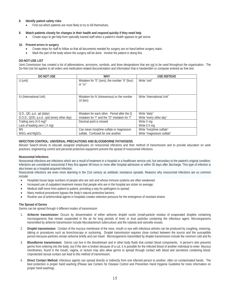# **8. Identify patient safety risks**

Find out which patients are most likely to try to kill themselves.

#### **9. Watch patients closely for changes in their health and respond quickly if they need help**

• Create ways to get help from specially trained staff when a patient's health appears to get worse.

#### **10. Prevent errors in surgery**

- Create steps for staff to follow so that all documents needed for surgery are on hand before surgery starts.
- Mark the part of the body where the surgery will be done. Involve the patient in doing this.

#### **DO-NOT-USE LIST**

Joint Commission has created a list of abbreviations, acronyms, symbols, and dose designations that are not to be used throughout the organization. The Do-Not-Use list applies to all orders and medication-related documentation and information that is handwritten or computer entered as free text

| <b>DO NOT USE</b>                          | <b>WHY</b>                                     | <b>USE INSTEAD</b>         |
|--------------------------------------------|------------------------------------------------|----------------------------|
| $U$ (unit)                                 | Mistaken for "0" (zero), the number "4" (four) | Write "unit"               |
|                                            | or "cc"                                        |                            |
|                                            |                                                |                            |
|                                            |                                                |                            |
| <b>IU</b> (International Unit)             | Mistaken for IV (intravenous) or the number    | Write "International Unit" |
|                                            | 10 (ten)                                       |                            |
|                                            |                                                |                            |
|                                            |                                                |                            |
| Q.D., Q.D., q.d., qd (daily)               | Mistaken for each other. Period after the O    | Write "daily"              |
| D.O.D., QOD, g.o.d., god (every other day) | mistaken for "I" and the "O" mistaken for "I"  | Write "every other day"    |
| Trailing zero (X.0 mg)*                    | Decimal point is missed                        | Write X mg                 |
| Lack of leading zero (.X mg)               |                                                | Write 0.X mg               |
| <b>MS</b>                                  | Can mean morphine sulfate or magnesium         | Write "morphine sulfate"   |
| MSO <sub>4</sub> and MgSO <sub>4</sub>     | sulfate. Confused for one another.             | Write "magnesium sulfate"  |

#### **INFECTION CONTROL: UNIVERSAL PRECAUTIONS AND BLOODBORNE PATHOGENS**

Mission Search strives to educate assigned employees on nosocomial infections and their method of transmission and to provide education on work practices; engineering control and personal protective equipment prevent the spread of nosocomial infections.

#### **Nosocomial Infections**

Nosocomial infections are infections which are a result of treatment in a hospital or a healthcare service unit, but secondary to the patient's original condition. Infections are considered nosocomial if they first appear 48 hours or more after hospital admission or within 30 days after discharge. This type of infection is also known as a hospital-acquired infection.

Nosocomial infections are even more alarming in the 21st century as antibiotic resistance spreads. Reasons why nosocomial infections are so common include:

- Hospitals house large numbers of people who are sick and whose immune systems are often weakened.
- Increased use of outpatient treatment means that people who are in the hospital are sicker on average;
- Medical staff move from patient to patient, providing a way for pathogens to spread;
- Many medical procedures bypass the body's natural protective barriers;
- Routine use of antimicrobial agents in hospitals creates selection pressure for the emergence of resistant strains

#### **The Spread of Germs**

Germs can be spread through 4 different modes of transmission

- 1. **Airborne transmission:** Occurs by dissemination of either airborne droplet nuclei (small-particle residue of evaporated droplets containing microorganisms that remain suspended in the air for long periods of time) or dust particles containing the infectious agent. Microorganisms transmitted by airborne transmission include *Mycobacterium tuberculosis* and the rubeola and varicella viruses.
- 2. **Droplet transmission:** Contact of the mucous membrane of the nose, mouth or eye with infectious articles can be produced by coughing, sneezing, talking or procedures such as bronchoscopy or suctioning. Droplet transmission requires close contact between the source and the susceptible person because particles remain airborne briefly and can travel. Microorganisms transmitted by droplet transmission include the common cold and flu.
- 3. **Bloodborne transmission:** Germs can live in the bloodstream and in other body fluids that contain blood components. A person's skin prevents germs from entering into the body, but if the skin is broken because of a cut, it is possible for the infected blood of another individual to enter. Mucous membranes, found in the mouth, vagina, or rectum may also allow germs to spread through contact with blood and secretions containing blood. Unprotected sexual contact can lead to this method of transmission.
- 4. **Direct Contact Method:** Infectious agents can spread directly or indirectly from one infected person to another, often on contaminated hands. The best protection is proper hand washing (Please see Centers for Disease Control and Prevention Hand Hygiene Guideline for more information on proper hand washing).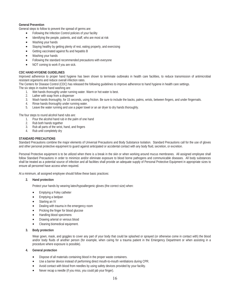# **General Prevention**

General steps to follow to prevent the spread of germs are:

- Following the Infection Control policies of your facility
- Identifying the people, patients, and staff, who are most at risk
- Washing your hands
- Staying healthy by getting plenty of rest, eating properly, and exercising
- Getting vaccinated against flu and hepatitis B
- Washing your hands
- Following the standard recommended precautions with everyone
- NOT coming to work if you are sick.

## **CDC HAND HYGIENE GUIDELINES**

Improved adherence to proper hand hygiene has been shown to terminate outbreaks in health care facilities, to reduce transmission of antimicrobial resistant organisms and reduce overall infection rates.

The Centers for Disease Control (CDC) has released the following guidelines to improve adherence to hand hygiene in health care settings.

The six steps in routine hand washing are:

- 1. Wet hands thoroughly under running water. Warm or hot water is best.
- 2. Lather with soap from a dispenser<br>3. Wash hands thoroughly, for 15 sec
- Wash hands thoroughly, for 15 seconds, using friction. Be sure to include the backs, palms, wrists, between fingers, and under fingernails.
- 4. Rinse hands thoroughly under running water.
- 5. Leave the water running and use a paper towel or an air dryer to dry hands thoroughly.

The four steps to round alcohol hand rubs are:

- 1. Pour the alcohol hand rub in the palm of one hand
- 2. Rub both hands together
- 3. Rub all parts of the wrist, hand, and fingers
- 4. Rub until completely dry

#### **STANDARD PRECAUTIONS**

Standard Precautions combine the major elements of Universal Precautions and Body Substance Isolation. Standard Precautions call for the use of gloves and other personal protective equipment to guard against anticipated or accidental contact with any body fluid, secretion, or excretion.

Personal Protective equipment is to be utilized when there is a break in the skin or when working around mucus membranes. All assigned employee shall follow Standard Precautions in order to minimize and/or eliminate exposure to blood borne pathogens and communicable diseases. All body substances shall be treated as a potential source of infection and all facilities shall provide an adequate supply of Personal Protective Equipment in appropriate sizes to ensure all personnel have access when required.

At a minimum, all assigned employee should follow these basic practices:

#### **2. Hand protection**

Protect your hands by wearing latex/hypoallergenic gloves (the correct size) when:

- Emptying a Foley catheter
- Emptying a bedpan
- Starting an IV
- Dealing with trauma in the emergency room
- Pricking the finger for blood glucose
- Handling blood specimens
- Drawing arterial or venous blood
- Cleaning biomedical equipment.

#### **3. Body protection**

Wear gown, mask, and goggles to cover any part of your body that could be splashed or sprayed (or otherwise come in contact with) the blood and/or body fluids of another person (for example, when caring for a trauma patient in the Emergency Department or when assisting in a procedure where exposure is possible).

- **4. General protection** 
	- Dispose of all materials containing blood in the proper waste containers.
	- Use a barrier device instead of performing direct mouth-to-mouth ventilations during CPR.
	- Avoid contact with blood from needles by using safety devices provided by your facility.
	- Never recap a needle (if you miss, you could jab your finger).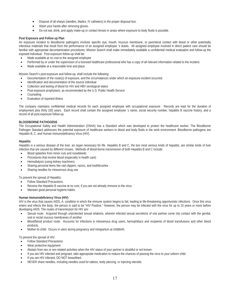- Dispose of all sharps (needles, blades, IV catheters) in the proper disposal box.
- Wash your hands after removing gloves.
- Do not eat, drink, and apply make-up or contact lenses in areas where exposure to body fluids is possible.

## **Post Exposure and Follow up Plan**

An exposure incident to bloodborne pathogens involves specific eye, mouth, mucous membrane, or parenteral contact with blood or other potentially infectious materials that result from the performance of an assigned employee 's duties. All assigned employee involved in direct patient care should be familiar with appropriate decontamination procedures, Mission Search shall make immediately available a confidential medical evaluation and follow-up the exposed individual. Post-exposure follow-up shall be:

- Made available at no cost to the assigned employee
- Performed by or under the supervision of a licensed healthcare professional who has a copy of all relevant information related to the incident.
- Made available at a reasonable time and place.

Mission Search's post-exposure and follow-up, shall include the following:

- x Documentation of the route(s) of exposure, and the circumstances under which an exposure incident occurred.
- Identification and documentation of the source individual
- Collection and testing of blood for HIV and HBV serological status
- Post-exposure prophylaxis, as recommended by the U.S. Public Health Service
- Counseling
- x Evaluation of reported illness

The company maintains confidential medical records for each assigned employee with occupational exposure. Records are kept for the duration of employment plus thirty (30) years. Each record shall contain the assigned employee 's name, social security number, hepatitis B vaccine history, and a record of all post-exposure follow-up.

#### **BLOODBORNE PATHOGENS**

The Occupational Safety and Health Administration (OSHA) has a Standard which was developed to protect the healthcare worker. The Bloodborne Pathogen Standard addresses the potential exposure of healthcare workers to blood and body fluids in the work environment. Bloodborne pathogens are Hepatitis B, C, and Human Immunodeficiency Virus (HIV).

#### **Hepatitis**

Hepatitis is a serious disease of the liver, an organ necessary for life. Hepatitis B and C, the two most serious kinds of hepatitis, are similar kinds of liver infection that are caused by different viruses. Methods of blood-borne transmission of both Hepatitis B and C include:

- Blood splashes from minor cuts and nosebleeds
- Procedures that involve blood (especially in health care)
- Hemodialysis (using kidney machines)
- Sharing personal items like nail clippers, razors, and toothbrushes
- Sharing needles for intravenous drug use

To prevent the spread of Hepatitis:

- Follow Standard Precautions.
- Receive the Hepatitis B vaccine at no cost, if you are not already immune to the virus.
- Maintain good personal hygiene habits.

#### **Human Immunodeficiency Virus (HIV)**

HIV is the virus that causes AIDS, A. condition in which the immune system begins to fail, leading to life-threatening opportunistic infections. Once this virus enters and infects the body, the person is said to be "HIV Positive." However, the person may be infected with the virus for up to 10 years or more before developing AIDS. The routes of transmission for HIV are:

- Sexual route: Acquired through unprotected sexual relations, wherein infected sexual secretions of one partner come into contact with the genital, oral or rectal mucous membranes of another
- Blood/blood product route: Accounts for infections in intravenous drug users, hemophiliacs and recipients of blood transfusions and other blood products.
- Mother-to-child: Occurs in utero during pregnancy and intrapartum at childbirth.

To prevent the spread of HIV:

- **Follow Standard Precautions**
- Wear protective equipment
- Abstain from sex or sex-related activities when the HIV status of your partner is doubtful or not known.
- If you are HIV infected and pregnant, take appropriate medication to reduce the chances of passing the virus to your unborn child.
- If you are HIV infected, DO NOT breastfeed.
- NEVER share needles, including needles used for tattoos, body piercing, or injecting steroids.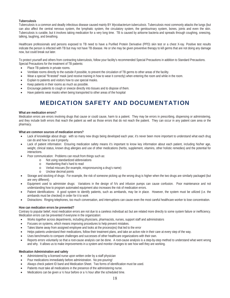# **Tuberculosis**

Tuberculosis is a common and deadly infectious disease caused mainly BY *Mycobacterium tuberculosis*. Tuberculosis most commonly attacks the lungs (but can also affect the central nervous system, the lymphatic system, the circulatory system, the genitourinary system, bones, joints and even the skin. Tuberculosis is curable, but it involves taking medication for a very long time. TB is caused by airborne bacteria and spreads through coughing, sneezing, talking, laughing, and breathing.

Healthcare professionals and persons exposed to TB need to have a Purified Protein Derivative (PPD) skin test or a chest X-ray. Positive test results indicate the person is infected with TB but may not have TB disease. He or she may be given preventive therapy to kill germs that are not doing any damage now, but could break out later.

To protect yourself and others from contracting tuberculosis, follow your facility's recommended Special Precautions in addition to Standard Precautions. Special Precautions for the treatment of TB patients:

- Place TB patients in private rooms.
- x Ventilate rooms directly to the outside if possible, to prevent the circulation of TB germs to other areas of the facility.
- Wear a special "fit-tested" mask (and receive training in how to wear it correctly) when entering the room and while in the room.
- Explain to patients and visitors how to use special masks.
- Keep patients in their rooms as much as possible.
- Encourage patients to cough or sneeze directly into tissues and to dispose of them.
- Have patients wear masks when being transported to other areas of the hospital

# MEDICATION SAFETY AND DOCUMENTATION

#### **What are medication errors?**

Medication errors are errors involving drugs that cause or could cause, harm to a patient. They may be errors in prescribing, dispensing or administering, and they include both errors that reach the patient as well as those errors that do not reach the patient. They can occur in any patient care area or the pharmacy.

#### **What are common sources of medication errors?**

- Lack of knowledge about drugs: with so many new drugs being developed each year, it's never been more important to understand what each drug can do and how to use it properly.
- Lack of patient information: Ensuring medication safety means it's important to know key information about each patient, including his/her age, weight, clinical status, known drug allergies and use of other medications (herbs, supplement, vitamins, other holistic remedies) and the potential for interactions.
- Poor communication: Problems can result from things such as:
	- o Not using standardized abbreviations
	- o Handwriting that's hard to read
	- o Verbal miscues (for example, mispronouncing a drug's name)
	- o Unclear decimal points
- Storage and stocking of drugs: For example, the risk of someone picking up the wrong drug is higher when the two drugs are similarly packaged (but are very different).
- Equipment used to administer drugs: Variations in the design of IVs and infusion pumps can cause confusion. Poor maintenance and not understanding how to program automated equipment also increases the risk of medication errors.
- Patient identifications: A good system to identify patients, such as armbands, may be in place. However, the system must be utilized (i.e. the armbands must be checked) in order for it to work
- Distractions: Ringing telephones, too much conversation, and interruptions can cause even the most careful healthcare worker to lose concentration.

#### **How can medication errors be prevented?**

Contrary to popular belief, most medication errors are not due to a careless individual act but are related more directly to some system failure or inefficiency. Medication errors can be prevented if everyone in the organization:

- Works together across departments, including physicians, pharmacists, nurses, support staff and administrators
- Focuses on systems, which means improving procedures to help prevent mistakes.
- Takes blame away from assigned employee and looks at the process(es) that led to the error
- x Helps patients understand their medications, follow their treatment plans, and take an active role in their care at every step of the way.
- Uses benchmarks to compare challenges and successes of other healthcare organizations with their own.
- Reports errors voluntarily so that a root-cause analysis can be done. A root-cause analysis is a step-by-step method to understand what went wrong and why. It allows us to make improvements in a system and monitor changes to see how well they are working.

#### **Medication Administration and safety**

- Administered by a licensed nurse upon written order by a staff physician
- Pour medications immediately before administration. No pre-pouring!
- Always check patient ID band and Medication Sheet. Two forms of identification must be used.
- Patients must take all medications in the presence of the administering nurse.
- Medications can be given a  $\frac{1}{2}$  hour before or a  $\frac{1}{2}$  hour after the scheduled time.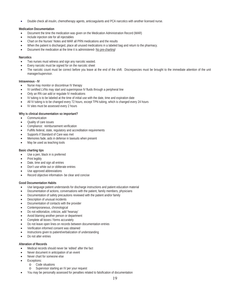Double check all insulin, chemotherapy agents, anticoagulants and PCA narcotics with another licensed nurse.

# **Medication Documentation**

- Document the time the medication was given on the Medication Administration Record (MAR)
- x Include injection site for all injectables
- Chart on the Nurses' Notes and MAR all PRN medications and the results
- When the patient is discharged, place all unused medications in a labeled bag and return to the pharmacy.
- Document the medication at the time it is administered- No pre-charting!

#### **Narcotics**

- Two nurses must witness and sign any narcotic wasted.
- Every narcotic must be signed for on the narcotic sheet
- The narcotic count must be correct before you leave at the end of the shift. Discrepancies must be brought to the immediate attention of the unit manager/supervisor.

#### **Intravenous - IV**

- Nurse may monitor or discontinue IV therapy
- IV certified LVNs may start and superimpose IV fluids through a peripheral line
- Only an RN can add or regulate IV medications
- IV tubing is to be labeled at the time of initial use with the date, time and expiration date
- All IV tubing is to be changed every 72 hours, except TPN tubing, which is changed every 24 hours
- IV sites must be assessed every 2 hours

# **Why is clinical documentation so important?**

- Communication
- Quality of care issues
- Compliance: reimbursement verification
- Fulfills federal, state, regulatory and accreditation requirements
- Supports if Standard of Care was met
- Memories fade, aids in defense in lawsuits when present
- May be used as teaching tools

## **Basic charting tips**

- Use a pen, black in is preferred
- Print legibly
- Date, time and sign all entries
- Don't use white out or obliterate entries
- Use approved abbreviations
- Record objective information- be clear and concise

#### **Good Documentation Habits**

- Use language patient understands for discharge instructions and patient education material
- Documentation of actions, conversations with the patient, family members, physicians
- Documentation of safety precautions reviewed with the patient and/or family
- Description of unusual incidents
- Documentation of contacts with the provider
- Contemporaneous, chronological
- Do not editorialize, criticize, add 'hearsay'
- Avoid blaming another person or department
- Complete all boxes / forms accurately
- Do not leave open lines on records between documentation entries
- x Verification informed consent was obtained
- Instructions given to patient/verbalization of understanding
- Do not alter entries

# **Alteration of Records**

- Medical records should never be 'edited' after the fact
- Never document in anticipation of an event
- Never chart for someone else
- Exceptions:
	- o Code situations
	- o Supervisor starting an IV per your request
- x You may be personally assessed for penalties related to falsification of documentation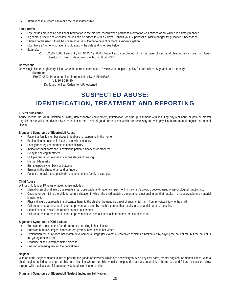Alterations in a record can make the case indefensible

# **Late Entries**

- Late entries are placing additional information in the medical record when pertinent information was missed or not written in a timely manner.
- x A general guideline of when late entries can be added is within 7 days. Consult your Supervisor or Risk Manager for guidance if necessary.
- Should not be used if there has been adverse outcome to patient or there is known litigation
- Must have a 'home' notation should specify the date and time. See below.
- Example:
	- o 4/20/07 1600: Late Entry for 4/19/07 at 0800: Patient also complained of pain at base of neck and bleeding from nose. Dr. Jones notified, CT of head ordered along with CBC & diff, INR.

## **Corrections**

Draw single line through entry, initial; write the correct information. Review your hospital's policy for corrections. Sign and date the entry.

**Example:** 

4/19/07 0800: Pt found on floor in room LN hallway; BP:165/66

VS: 36.8-136-20

Dr. Jones notified. Orders for MRI obtained

# SUSPECTED ABUSE: IDENTIFICATION, TREATMENT AND REPORTING

#### **Elder/Adult Abuse**

Abuse means the willful infliction of injury, unreasonable confinement, intimidation, or cruel punishment with resulting physical harm or pain or mental anguish or the willful deprivation by a caretaker or one's self of goods or services which are necessary to avoid physical harm, mental anguish, or mental illness.

#### **Signs and Symptoms of Elder/Adult Abuse**

- Patient or family member states that abuse is happening in the home
- x Explanation for injuries is inconsistent with the injury
- Family or caregiver attempts to conceal injury
- Indications that someone is exploiting patient's finances or property
- Delay in seeking treatment
- Multiple bruises or injuries in various stages of healing
- Human bite marks
- Burns especially on back or buttocks
- Bruises in the shape of a hand or fingers
- Patient's behavior changes in the presence of the family or caregiver

## **Child Abuse**

With a child (under 18 years of age), abuse includes:

- x Mental or emotional injury that results in an observable and material impairment in the child's growth, development, or psychological functioning;
- x Causing or permitting the child to be in a situation in which the child sustains a mental or emotional injury that results in an observable and material impairment.
- x Physical injury that results in substantial harm to the child or the genuine threat of substantial harm from physical injury to the child
- x Failure to make a reasonable effort to prevent an action by another person that results in substantial harm to the child;
- Sexual contact, sexual intercourse, or sexual conduct;
- Failure to make a reasonable effort to prevent sexual contact, sexual intercourse, or sexual conduct.

#### **Signs and Symptoms of Child Abuse**

- Burns on the soles of the feet (from forced standing in hot places)
- Burns on buttocks, thighs, hands or feet (from submersion in hot water)
- Explanation for injury does not match developmental stage (for example, caregiver explains a broken leg by saying the patient fell, but the patient is too young to stand up)
- Evidence of sexually transmitted disease
- Bruising or tearing around the genital area

#### **Neglect**

With an adult, neglect means failure to provide the goods or services, which are necessary to avoid physical harm, mental anguish, or mental illness. With a child, neglect includes leaving the child in a situation where the child would be exposed to a substantial risk of harm, i.e., and failure to seek or follow through with medical care, failure to provide food, clothing, or shelter.

# **Signs and Symptoms of Elder/Adult Neglect, Including Self-Neglect**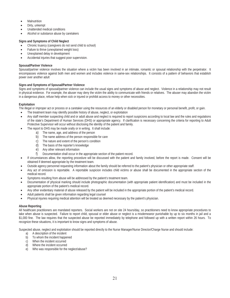- **Malnutrition**
- Dirty, unkempt
- Unattended medical conditions
- Alcohol or substance abuse by caretakers

# **Signs and Symptoms of Child Neglect**

- Chronic truancy (caregivers do not send child to school)
- Failure to thrive (unexplained weight loss)
- Unexplained delay in development
- Accidental injuries that suggest poor supervision.

# **Spousal/Partner Violence**

Spousal/partner violence involves the situation where a victim has been involved in an intimate, romantic or spousal relationship with the perpetrator. It encompasses violence against both men and women and includes violence in same-sex relationships. It consists of a pattern of behaviors that establish power over another adult

# **Signs and Symptoms of Spousal/Partner Violence**

Signs and symptoms of spousal/partner violence can include the usual signs and symptoms of abuse and neglect. Violence in a relationship may not result in physical evidence. For example, the abuser may deny the victim the ability to communicate with friends or relatives. The abuser may abandon the victim in a dangerous place, refuse help when sick or injured or prohibit access to money or other necessities.

# **Exploitation**

The illegal or improper act or process or a caretaker using the resources of an elderly or disabled person for monetary or personal benefit, profit, or gain.

- The treatment team may identify possible history of abuse, neglect, or exploitation
- Any staff member suspecting child and or adult abuse and neglect is required to report suspicions according to local law and the rules and regulations of the state's Department of Human Services (DHS) or appropriate agency. If clarification is necessary concerning the criteria for reporting to Adult Protective Supervisor will occur without disclosing the identity of the patient and family.
- The report to DHS may be made orally or in writing. It shall include:
	- a) The name, age, and address of the person
	- b) The name address of the person responsible for care
	- c) The nature and extent of the person's condition
	- d) The basis of the reporter's knowledge
	- e) Any other relevant information
	- f) Documentation shall occur in the appropriate section of the patient record.
- If circumstances allow, the reporting procedure will be discussed with the patient and family involved, before the report is made. Consent will be obtained if deemed appropriate by the treatment team.
- Outside agency personnel requesting information about the family should be referred to the patient's physician or other appropriate staff.
- Any act of omission is reportable. A reportable suspicion includes child victims or abuse shall be documented in the appropriate section of the medical record.
- Symptoms resulting from abuse will be addressed by the patient's treatment team.
- x Documentation of physical marking should include photographic documentation (with appropriate patient identification) and must be included in the appropriate portion of the patient's medical record.
- Any other evidentiary material of abuse released by the patient will be included in the appropriate portion of the patient's medical record.
- Adult patients shall be given information regarding legal counsel
- Physical injuries requiring medical attention will be treated as deemed necessary by the patient's physician.

#### **Abuse Reporting**

All healthcare practitioners are mandated reporters. Social workers are not on site 24 hours/day, so practitioners need to know appropriate procedures to take when abuse is suspected. Failure to report child, spousal or elder abuse or neglect is a misdemeanor punishable by up to six months in jail and a \$1,000 fine. The law requires that the suspected abuse be reported immediately by telephone and followed up with a written report within 26 hours. To recognize these situations, it is important to know signs and symptoms of abuse.

Suspected abuse, neglect and exploitation should be reported directly to the Nurse Manager/Nurse Director/Charge Nurse and should include:

- a) A description of the incident
- b) To whom the incident happened
- c) When the incident occurred
- d) Where the incident occurred
- e) Who was responsible for the neglect/abuse?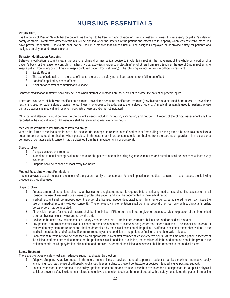# NURSING ESSENTIALS

#### **RESTRAINTS**

It is the policy of Mission Search that the patient has the right to be free from any physical or chemical restraints unless it is necessary for patient's safety or safety of others. Restrictive devices/restraints will be applied when the safeties of the patient and others are in jeopardy when less restrictive measures have proved inadequate. Restraints shall not be used in a manner that causes undue. The assigned employee must provide safety for patients and assigned employee, and prevent injuries.

#### **Behavior Modification Restraint:**

Behavior modification restraint means the use of a physical or mechanical devise to involuntarily restrain the movement of the whole or a portion of a patient's body for the reason of controlling his/her physical activities in order to protect him/her of others from injury (such as the use of 5-point restraints to keep a patient from injury or soft times to keep a confused patient from self-injury). The following are not behavior modification restraint:

- 1. Safety Restraint
- 2. The use of side rails or, in the case of infants, the use of a safety net to keep patients from falling out of bed
- 3. Handcuffs applied by peace officers
- 4. Isolation for control of communicable disease.

Behavior modification restraints shall only be used when alternative methods are not sufficient to protect the patient or prevent injury.

There are two types of behavior modification restraint: psychiatric behavior modification restraint ("psychiatric restraint" used hereunder). A psychiatric restraint is used for patient signs of acute mental illness who appear to be a danger to themselves or others. A medical restraint is used for patients whose primary diagnosis is medical and for whom psychiatric hospitalization is not indicated.

Of limbs, and attention should be given to the patient's needs including hydration, elimination, and nutrition. A report of the clinical assessment shall be recorded in the medical record. All restraints shall be released at least every two hours.

#### **Medical Restraint with Permission of Patient/Family:**

When other forms of medical restraint are to be imposed (for example, to restraint a confused patient from pulling at naso-gastric tube or intravenous line), a separate consent should be obtained when possible. In the case of a minor, consent should be obtained from the parents or guardian. N the case of a confused or comatose adult, consent may be obtained from the immediate family or conservator.

Steps to follow:

- 1. A physician's order is required.
- 2. In addition to usual nursing evaluation and care, the patient's needs, including hygiene, elimination and nutrition, shall be assessed at least every two hours.
- 3. Supports shall be released at least every two hours.

#### **Medical Restraint without Permission:**

It is not always possible to get the consent of the patient, family or conservator for the imposition of medical restraint. In such cases, the following procedures should be used:

Steps to follow:

- 1. An assessment of the patient, either by a physician or a registered nurse, is required before instituting medical restraint. The assessment shall consider the use of less restrictive means to protect the patient and shall be documented in the medical record.
- 2. Medical restraint shall be imposed upon the order of a licensed independent practitioner. In an emergency, a registered nurse may initiate the use of a medical restraint (without consent). The emergency implementation shall continue beyond one hour only with a physician's order. Verbal orders may be accepted.
- 3. All physician orders for medical restraint shall be time-limited. PRN orders shall not be given or accepted. Upon expiration of the time-limited order, a physician must review and renew the order.
- 4. Devised to be used may include soft ties, Posey vests, mittens, etc. Hard leather restraints shall not be used for medical restraint.
- 5. Any patient in medical restraint (without consent) shall be observed at intervals not greater than fifteen minutes. The exact time interval of observation may be more frequent and shall be determined by the clinical condition of the patient. Staff shall document these observations in the medical record at the end of each shift or more frequently as the condition of the patient or findings of the observation dictate.
- 6. Each patient in restraint shall be assessed by an appropriate clinical staff member at least every two hours. At the time of the patient assessment, the clinical staff member shall comment on the patient's clinical condition, circulation, the condition of limbs and attention should be given to the patient's needs including hydration, elimination, and nutrition. A report of the clinical assessment shall be recorded in the medical record.

#### **Safety Restraint**

There are two types of safety restraint: adaptive support and patient protection.

- 1. Adaptive Support: Adaptive support is the use of mechanisms or devices intended to permit a patient to achieve maximum normative bodily functioning (such as the use of orthopedic appliances, braces, splints to prevent contracture or devices intended to give postural support.
- 2. Patient Protection: In the context of the policy, "patient protection" means the use of mechanisms intended to compensate for a specific physical deficit or prevent safety incidents not related to cognitive dysfunction (such as the use of bedrail with a safety net to keep the patient from falling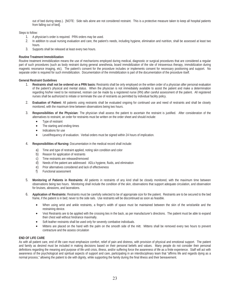out of bed during sleep.). [NOTE: Side rails alone are not considered restraint. This is a protective measure taken to keep all hospital patients from falling out of bed].

Steps to follow:

- 1. A physician's order is required. PRN orders may be used.
- 2. In addition to usual nursing evaluation and care, the patient's needs, including hygiene, elimination and nutrition, shall be assessed at least two hours.
- 3. Supports shall be released at least every two hours.

## **Routine Treatment Immobilization**

Routine treatment immobilization means the use of mechanisms employed during medical, diagnostic or surgical procedures that are considered a regular part of such procedures (such as body restraint during general anesthesia, board immobilization of the site of intravenous therapy, immobilization during magnetic resonance imaging, etc). The patient's consent for the procedure includes or implements consent for necessary positioning and support. No separate order is required for such immobilization. Documentation of the immobilization is part of the documentation of the procedure itself.

#### **General Restraint Guidelines**

- 1. **Restraints shall not be ordered on a PRN basis:** Restraints shall be only employed on the written order of a physician after personal evaluation of the patient's physical and mental status. When the physician is not immediately available to assist the patient and make a determination regarding his/her need to be restrained, restrain can be made by a registered nurse (RN) after careful assessment of the patient. All registered nurses shall be authorized to initiate or terminate the use of restraints as permitted by individual facility policy.
- 2. **Evaluation of Patient:** All patients using restraints shall be evaluated ongoing for continued use and need of restraints and shall be closely monitored, with the maximum time between observations being two hours.
- 3. **Responsibilities of the Physician:** The physician shall assess the patient to ascertain the restraint is justified. After consideration of the alternatives to restraint, an order for restraints must be written on the order sheet and should include:
	- Type of restraint
	- The starting and ending times
	- Indications for use
	- Level/frequency of evaluation. Verbal orders must be signed within 24 hours of implication.
- 4. **Responsibilities of Nursing:** Documentation in the medical record shall include:
	- a) Time and type of restraint applied, noting skin condition and color
	- b) Reason for application of restraints
	- c) Time restraints are released/removed
	- d) Needs of the patient are addressed: ADLs hygiene, fluids, and elimination
	- e) Prior alternatives considered and lack of effectiveness
	- f) Functional assessment
- 5. **Monitoring of Patients in Restraints:** All patients in restraints of any kind shall be closely monitored, with the maximum time between observations being two hours. Monitoring shall include the condition of the skin, observations that support adequate circulation, and observation for bruises, abrasions, and lacerations.
- 6. **Application of Restraints:** Restraints must be carefully selected to be of appropriate size for the patient. Restraints are to be secured to the bed frame, if the patient is in bed; never to the side rails. Use restraints will be discontinued as soon as feasible.
	- When using wrist and ankle restraints, a finger's width of space must be maintained between the skin of the wrist/ankle and the restraining device.
	- Vest Restraints are to be applied with the crossing ties in the back, as per manufacturer's directions. The patient must be able to expand their chest wall without hindrance maximally.
	- Soft leather restraints shall be used only for severely combative individuals.
	- Mittens are placed on the hand with the palm on the smooth side of the mitt. Mittens shall be removed every two hours to prevent contracture and the assess circulation

#### **END OF LIFE CARE**

As with all patient care, end of life care must emphasize comfort, relief of pain and distress, with provision of physical and emotional support. The patient and family as desired must be included in making decisions based on their personal beliefs and values. Many people do not consider their personal definitions regarding the meaning and purpose of life until crisis, illness, and/or suffering force the awareness of life as a finite experience. Staff will act with awareness of the psychological and spiritual aspects of support and care, participating in an interdisciplinary team that "affirms life and regards dying as a normal process," allowing the patient to die with dignity, while supporting the family during the final illness and their bereavement.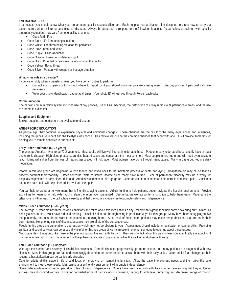# **EMERGENCY CODES**

In all cases, you should know what your department-specific responsibilities are. Each hospital has a disaster plan designed to direct how to carry out patient care during an internal and external disaster. Always be prepared to respond to the following situations: Actual colors associated with specific emergency situations may vary from one facility to another.

- Code Red: Fire
- Code Blue: Life Threatening situation
- Code White: Life threatening situation for pediatrics
- Code Pink: Infant abduction
- Code Purple: Child Abduction
- Code Orange: Hazardous Materials Spill
- Code Gray: Potential or real violence occurring in the facility
- Code Yellow: Bomb threat
- Code Silver: Person with weapon or hostage situation

#### **What is my role in a disaster?**

If you are on duty when a disaster strikes, you have certain duties to perform:

- Contact your Supervisor to find out where to report, or if you should continue your work assignment. Use pay phones if personal calls are necessary.
- Wear your photo identification badge at all times. Your photo ID will get you through Police roadblocks

#### **Communication**

The backup communication system includes use of pay phones, use of FAX machines, the distribution of 2-way radios to all patient care areas; and the use of runners in a disaster.

#### **Supplies and Equipment**

Backup supplies and equipment are available for disasters.

#### **AGE-SPECIFIC EDUCATION**

As people age, they continue to experience physical and emotional changes. These changes are the result of the many experiences and influences, including the genes we inherit and the lifestyles we choose. This review will outline the common changes that occur with age. It will provide some tips for helping you to remain sensitive to our patients.

#### **Early Older Adulthood (60-75 years)**

The average American lives to be 77.2 years old. Most adults will live well into early older adulthood. People in early older adulthood usually have at least one chronic disease. High blood pressure, arthritis, heart disease and cancer are the most common. Most people in this age group will need eyeglasses to read. Many will suffer from the loss of hearing associated with old age. Most women have gone through menopause. Many in this group require daily mediations.

People in this age group are beginning to lose friends and loved ones to the inevitable process of death and dying. Hospitalization may cause fear as patients confront their mortality. Other concerns relate to limited income since many have retired. Fear of permanent disability may be a worry for hospitalized patients in early older adulthood. Arthritis is common in this age group. Older adults often experience both chronic and acute pain. Consistent use of the pain scale will help older adults evaluate their pain.

You can help to create an environment that is friendly to aging patients. Adjust lighting to help patients better navigate the hospital environment. Provide extra time for learning to help older adults retain the information presented. Use verbal as well as written instruction to help them learn. Make sure the telephone is within reach, the call light is close by and that the room is clutter-free to promote safety and independence.

#### **Middle Older Adulthood (75-85 years)**

The average 75-year-old has three chronic conditions and takes about five medications a day. Many in this group feel their body is "wearing out." Almost all need glasses to see. Most have reduced hearing. Hospitalization can be frightening in particular ways for this group. Many have been struggling to live independently, and most do not want to be placed in a nursing home. As a result of these fears, patients may make health decisions that are not in their best interest, like ignoring signs of disease, because they are afraid of the consequences.

People in this group are vulnerable to depression which may not be obvious to you. Assessment should include an evaluation of coping skills. Providing spiritual and social services can be especially helpful for this age group since it can take time to get someone to open up about these issues.

Many patients in this group, like those in the previous group, live with arthritis pain. They may not talk about this pain unless you specifically ask about joint or muscle aches. Good pain management will help them participate in physical activities like walking and physical therapy.

#### **Late Older Adulthood (85 plus years)**

With age the number and severity of disabilities increases. Chronic diseases progressively get more severe, and many patients are diagnosed with new illnesses. Most in this group are frail and increasingly dependent on other people to assist them with their daily tasks. Older adults fear changes to their routine, a hospitalization can be particularly stressful.

Care for adults at this stage in life should focus on improving or maintaining function. Allow the patient to express needs and then tailor the care environment to meet those needs. Maintaining a user-friendly environment will promote independence.

Some older adults may not report pain due to fear of losing independence. Others have been living with arthritis and other pain so long that they no longer express their discomfort verbally. Look for nonverbal signs of pain including confusion, inability to ambulate, grimacing, and decreased range of motion.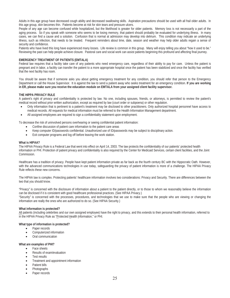Adults in this age group have decreased cough ability and decreased swallowing skills. Aspiration precautions should be used with all frail older adults. In this age group, skin becomes thin. Patients become at risk for skin tears and pressure ulcers.

People of any age can become confused while hospitalized, but the likelihood is greater for older patients. Memory loss is not necessarily a part of the aging process. So if you speak with someone who seems to be losing memory, that patient should probably be evaluated for underlying illness. In many cases, we can find a cause and a solution. Confusion that is normal at admission may develop into delirium. This condition may indicate an underlying illness, such as infection, that needs to be treated. Frequent reminders about time, date, season and weather may help older adults regain a sense of security and confidence.

Patients who have lived this long have experienced many losses. Life review is common in this group. Many will enjoy telling you about "how it used to be." Reviewing the past can help people achieve closure. Pastoral care and social work can assist patients beginning this profound and affecting final journey.

#### **EMERGENCY TREATMENT OF PATIENTS (EMTALA)**

Federal law requires that a facility take care of any patients who need emergency care, regardless of their ability to pay for care. Unless the patient is pregnant and in labor, a facility can transfer the patient to a more appropriate hospital once the patient has been stabilized and once the facility has verified that the next facility has room.

You should be aware that if someone asks you about getting emergency treatment for any condition, you should refer that person to the Emergency Department or call the House Supervisor. It is against the law to send a patient away who seeks treatment for an emergency condition. **If you are working in ER, please make sure you receive the education module on EMTALA from your assigned client facility supervisor.**

#### **THE HIPPA PRIVACY RULE**

A patient's right of privacy and confidentiality is protected by law. No one, including spouses, friends, or attorneys, is permitted to review the patient's medical record without prior written authorization, except as required by law (court order or subpoena) or other regulation.

- x Only information that is pertinent to a patient's treatment may be disclosed to other practitioners. Only authorized hospital personnel have access to medical records. All requests for medical information must be referred to the Health Information Management department.
- All assigned employees are required to sign a confidentiality statement upon employment.

To decrease the risk of uninvolved persons overhearing or seeing confidential patient information:

- Confine discussion of patient care information to the patient care areas
- x Keep computer ID/passwords confidential. Unauthorized use of ID/passwords may be subject to disciplinary action.
- Exit computer programs and log off before leaving the work station.

#### **What is HIPAA?**

The HIPAA Privacy Rule is a Federal Law that went into effect on April 14, 2003. The law protects the confidentiality of our patients' protected health information or PHI. Protection of patient privacy and confidentiality is also required by the Center for Medicaid Services, certain client facilities, and the Joint Commission.

Healthcare has a tradition of privacy. People have kept patient information private as far back as the fourth century BC with the Hippocratic Oath. However, with the advanced communications technologies in use today, safeguarding the privacy of patient information is more of a challenge. The HIPAA Privacy Rule reflects these new concerns.

The HIPAA law is complex. Protecting patients' healthcare information involves two considerations: Privacy and Security. There are differences between the two that you should know.

"Privacy" is concerned with the disclosure of information about a patient to the patient directly, or to those to whom we reasonably believe the information can be disclosed if it is consistent with good healthcare professional practices. (See HIPAA Privacy.)

"Security" is concerned with the processes, procedures, and technologies that we use to make sure that the people who are viewing or changing the information are really the ones who are authorized to do so. (See HIPAA Security.)

#### **What information is protected?**

All patients (including celebrities and our own assigned employee) have the right to privacy, and this extends to their personal health information, referred to in the HIPAA Privacy Rule as "Protected Health Information," or PHI.

#### **What type of information is protected?**

- Paper records
- Computerized information
- Oral communication

#### **What are examples of PHI?**

- Face sheets
- Results of exam/evaluation
- **\*** Test results
- Treatment and appointment information
- Patient bills
- Photographs
- Paper records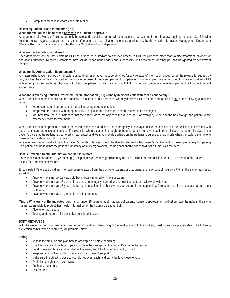Computerized patient records and information

# **Releasing Patient Health Information (PHI)**

# **What information can be released only with the Patient's approval?**

As a general rule, Medical Records can only be released to outside parties with the patient's approval, or if there is a law requiring release. (See following section, below.) Again, as a general rule, this information can be released to outside parties only by the Health Information Management Department (Medical Records), or in some cases, the Records Custodian of each department.

## **Who are the Records Custodians?**

Each department or unit that maintains PHI has a "records custodian" to approve access to PHI, for purposes other than routine treatment, payment or operations purposes. Records Custodians may include department leaders and supervisors, unit secretaries, or other persons designated by department leaders

## **What are the Authorization Requirements?**

A written authorization, signed by the patient or legal representative, must be obtained for any release of information except when the release is required by law, or when the information is used for the routine purpose of treatment, payment, or operations. For example, we are permitted to share our patients' PHI with other providers such as physicians to treat the patient, or we may submit PHI to insurance companies to obtain payment, all without patient authorization.

# **What about releasing Patient's Protected Health Information (PHI) verbally in discussions with friends and family?**

When the patient is present and has the capacity to make his or her decisions, we may disclose PHI to friends and families, if one of the following conditions is met:

- We obtain the oral agreement of the patient or legal representative;
- We provide the patient with an opportunity to object to the disclosure, and the patient does not object;
- We infer from the circumstances that the patient does not object to the disclosure. For example, when a friend has brought the patient to the emergency room for treatment.

When the patient is not present, or when the patient is incapacitated due to an emergency, it is okay to make the disclosure if our decision is consistent with good health care professional practices. For example, when a patient is brought to the emergency room, we may inform relatives and others involved in the patient's care that the patient has suffered a heart attack and we may provide updates on the patient's progress and prognosis when the patient is unable to make decisions about such disclosures.

Whatever information we disclose to the patient's friends or families should be directly relevant to that person's involvement. For example, a neighbor picking up a patient can be told that the patient is unsteady on his feet; however, the neighbor should not be told that a tumor was removed.

#### **How is Protected Health Information handled for Minors?**

If a patient is a minor (under 18 years of age), the patient's parents or guardian may receive or direct use and disclosure of PHI on behalf of the patient, except for "Emancipated Minors."

Emancipated Minors are children who have been released from the control of parents or guardians, and may control their own PHI, in the same manner as an adult:

- Anyone who is not yet 18 years old but is legally married or who is a parent.
- Anyone who is not yet 18 years old, but has been legally married and is now divorced, or a widow or widower.
- Anyone who is not yet 18 years old but is maintaining his or her own residence and is self-supporting. A reasonable effort to contact parents must be made.
- Anyone who is not yet 18 years old, and is pregnant.

**Minors Who Are Not Emancipated:** Any minor (under 18 years of age) may without parents' consent, approval, or notification have the right, in the same manner as an adult, to protect their health information for the voluntary treatment of:

- Alcohol or drug abuse
- Testing and treatment for sexually transmitted disease

#### **BODY MECHANICS**

With the use of proper body mechanics and ergonomics (the undersigning of the work place to fit the worker), most injuries are preventable. The following prevention points, when adhered to, will promote safety.

#### **Lifting**

- Assess the situation and plan how to accomplish it before beginning.
- Use the muscles of the legs, hips and arms the strongest in the body. Keep a neutral spine.
- Bend knees and hips avoid bending at the waist, and lift with your legs, not you back
- x Keep feet at shoulder width to provide a broad base of support.
- Make sure the object is close to you, do not-over reach, and carry the load close to you.
- x Avoid lifting higher than your waist.
- Push and don't pull.
- Ask for help.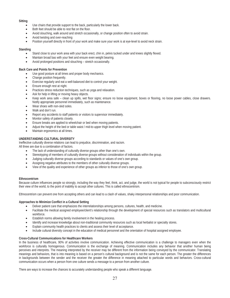#### **Sitting**

- Use chairs that provide support to the back, particularly the lower back.
- Both feet should be able to rest flat on the floor.
- Avoid slouching, walk around and stretch occasionally, or change position often to avoid strain.
- Avoid twisting and over-reaching
- Position yourself directly in front of your work and make sure your work is at eye-level to avoid neck strain.

#### **Standing**

- Stand close to your work area with your back erect, chin in, pelvis tucked under and knees slightly flexed.
- Maintain broad bas with your feet and ensure even weight bearing.
- Avoid prolonged positions and slouching stretch occasionally.

## **Back Care and Points for Prevention**

- Use good posture at all times and proper body mechanics.
- Change position frequently.
- Exercise regularly and eat a well-balanced diet to control your weight.
- Ensure enough rest at night.
- Practices stress reduction techniques, such as yoga and relaxation.
- Ask for help in lifting or moving heavy objects.
- x Keep work area safe clean up spills, wet floor signs; ensure no loose equipment, boxes or flooring, no loose power cables, close drawers. Notify appropriate personnel immediately, such as maintenance.
- Wear shoes with non-skid soles.
- Walk and don't run.
- Report any accidents to staff patients or visitors to supervisor immediately.
- x Monitor safety of patients closely.
- Ensure breaks are applied to wheelchair or bed when moving patients.
- Adjust the height of the bed or table waist / mid-to-upper thigh level when moving patient.
- Maintain ergonomics at all times.

# **UNDERSTANDING CULTURAL DIVERSITY**

Ineffective culturally diverse relations can lead to prejudice, discrimination, and racism.

All three are due to a combination of factors.

- The lack of understanding of culturally diverse groups other than one's own.
- Stereotyping of members of culturally diverse groups without consideration of individuals within the group.
- Judging culturally diverse groups according to standards or values of one's own group.
- Assigning negative attributes to the members of other culturally diverse groups.
- View of the quality and experience of other groups as inferior to those of one's own group.

#### **Ethnocentrism**

Because culture influences people so strongly, including the way they feel, think, act, and judge, the world is not typical for people to subconsciously restrict their view of the world, to the point of inability to accept other cultures. This is called ethnocentrism.

Ethnocentrism can prevent one from accepting others and can lead to a clash of values, shaky interpersonal relationships and poor communication.

#### **Approaches to Minimize Conflict in a Cultural Setting**

- Deliver patient care that emphasizes the interrelationships among persons, cultures, health, and medicine.
- Facilitate the medical assigned employee/client's relationship through the development of special resources such as translators and multicultural workforce.
- Establish norms allowing family involvement in the healing process.
- Identify and increase knowledge about non-traditional community resources such as local herbalist or specialty stores.
- x Explain community health practices to clients and assess their level of acceptance.
- Include cultural diversity concept in the education of medical personnel and the orientation of hospital assigned employee.

# **Cross-Cultural Communications for Healthcare Workers**

In the business of healthcare, 90% of activities involve communication. Achieving effective communication is a challenge to managers even when the workforce is culturally homogenous. Communication is the exchange of meaning. Communication includes any behavior that another human being perceives and interprets. The meaning interpreted by the receiver may be different from the information being conveyed by the communicator. Translating meanings and behaviors, that is into meaning is based on a person's cultural background and is not the same for each person. The greater the differences in backgrounds between the sender and the receiver the greater the difference in meaning attached to particular words and behaviors. Cross-cultural communication occurs when a person from one culture sends a message to a person from another culture.

There are ways to increase the chances to accurately understanding people who speak a different language.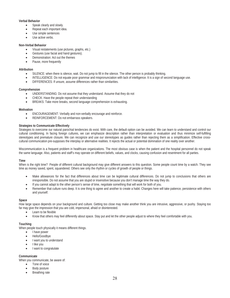# **Verbal Behavior**

- Speak clearly and slowly.
- Repeat each important idea.
- Use simple sentences
- Use active verbs.

#### **Non-Verbal Behavior**

- Visual restatements (use pictures, graphs, etc.)
- Gestures (use facial and hand gestures).
- Demonstration: Act out the themes
- Pause, more frequently

#### **Attribution**

- SILENCE: when there is silence, wait. Do not jump to fill in the silence. The other person is probably thinking.
- x INTELLIGENCE: Do not equate poor grammar and mispronunciation with lack of intelligence. It is a sign of second language use.
- DIFFERENCES: If unsure, assume differences rather than similarities.

#### **Comprehension**

- UNDERSTANDING: Do not assume that they understand. Assume that they do not
- CHECK: Have the people repeat their understanding
- BREAKS: Take more breaks, second language comprehension is exhausting.

# **Motivation**

- ENCOURAGEMENT: Verbally and non-verbally encourage and reinforce.
- x REINFORCEMENT: Do not embarrass speakers.

#### **Strategies to Communicate Effectively**

Strategies to overcome our natural parochial tendencies do exist. With care, the default option can be avoided. We can learn to understand and control our cultural conditioning. In facing foreign cultures, we can emphasize description rather than interpretation or evaluation and thus minimize self-fulfilling stereotypes and premature closure. We can recognize and use our stereotypes as quides rather than rejecting them as a simplification. Effective crosscultural communication pre-supposes the interplay or alternative realities. It rejects the actual or potential domination of one reality over another.

Miscommunication is a frequent problem in healthcare organizations. The most obvious case is when the patient and the hospital personnel do not speak the same language. Also, patients and staff's may operate on different beliefs, values, and clocks, causing confusion and resentment for all parties.

#### **Time**

When is the right time? People of different cultural background may give different answers to this question. Some people count time by a watch. They see time as money saved, spent, squandered. Others see only the rhythm or cycles of growth of people or things.

- Make allowances for the fact that differences about time can be legitimate cultural differences. Do not jump to conclusions that others are irresponsible. Do not assume that you are stupid or insensitive because you don't manage time the way they do.
- If you cannot adapt to the other person's sense of time, negotiate something that will work for both of you.
- Remember that culture runs deep. It is one thing to agree and another to create a habit. Changes here will take patience, persistence with others and yourself.

#### **Space**

How large space depends on your background and culture. Getting too close may make another think you are intrusive, aggressive, or pushy. Staying too far may give the impression that you are cold, impersonal, afraid or disinterested.

- Learn to be flexible
- Know that others may feel differently about space. Stay put and let the other people adjust to where they feel comfortable with you.

#### **Touching**

When people touch physically it means different things.

- I have power
- Hello/Goodbye
- I want you to understand
- I like you
- I want to congratulate

#### **Communicate**

When you communicate, be aware of:

- Tone of voice
- Body posture
- Breathing rate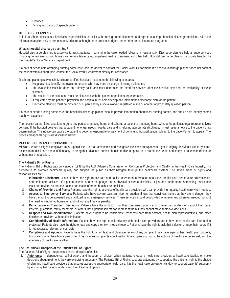- **Distance**
- Timing and pacing of speech patterns

# **DISCHARGE PLANNING**

This Fact Sheet discusses a hospital's responsibilities to assist with nursing home placement and right to challenge hospital discharge decisions. All of the information applies only to persons on Medicare, although there are similar rights under other health insurance programs.

# **What is hospital discharge planning?**

Hospital discharge planning is a service to assist patients in arranging the care needed following a hospital stay. Discharge planners help arrange services including home care, nursing home care, rehabilitative care, out-patient medical treatment and other help. Hospital discharge planning is usually handled by the hospital's Social Services Department.

If a patient needs help arranging nursing home care, ask the doctor to contact the Social Work Department. If a hospital discharge planner does not contact the patient within a short time, contact the Social Work Department directly for assistance.

Discharge planning services in Medicare-certified hospitals must meet the following standards:

- Hospitals must identify and evaluate persons who may need discharge planning assistance.
- The evaluation must be done on a timely basis and must determine the need for services after the hospital stay and the availability of these services.
- The results of the evaluation must be discussed with the patient or patient's representative.
- x If requested by the patient's physician, the hospital must help develop and implement a discharge plan for the patient.
- Discharge planning must be provided or supervised by a social worker, registered nurse or another appropriately qualified person.

If a patient needs nursing home care, the hospital's discharge planner should provide information about local nursing homes, and should help identify homes that have vacancies.

The hospital cannot force a patient to go to any particular nursing home or discharge a patient to a nursing home without the patient's legal representative's consent. If the hospital believes that a patient no longer needs hospital care and is refusing appropriate discharge, it must issue a notice to the patient of its determination. This notice can cause the patient to become responsible for payment of continuing hospitalization, subject to the patient's right to appeal. The notice and appeals rights are discussed below.

# **PATIENT RIGHTS AND RESPONSIBILITIES**

Mission Search assigned employee must uphold their role as advocates and recognize the consumer/patients' right to dignity, individual value systems, access to medical care and confidentiality. In being that advocate, nurses should be able to speak up to protect the health and safety of patients in their care without fear of retaliation.

#### **The Patient's Bill of Rights**

The Patients' Bill of Rights was conceived in 1998 by the U.S. Advisory Commission on Consumer Protection and Quality in the Health Care Industry. Its purpose is to promote healthcare quality and support the public as they navigate through the healthcare system. The seven areas of rights and responsibilities are:

- 1. **Information Disclosure:** Patients have the right to accurate and easily-understood information about their health plan, health care professionals, and healthcare facilities. If a patient speaks another language, has a physical or mental disability, or just don't understand something, assistance must be provided so that the patient can make informed health care decisions.
- 2. **Choice of Providers and Plans:** Patients have the right to a choice of health care providers who can provide high-quality health care when needed.
- 3. **Access to Emergency Services:** Patients who have severe pain, an injury, or sudden illness that convinces them that they are in danger, they have the right to be screened and stabilized using emergency services. These services should be provided whenever and wherever needed, without the need to wait for authorization and without any financial penalty.
- 4. **Participation in Treatment Decisions:** Patients have the right to know their treatment options and to take part in decisions about their care. Parents, guardians, family members, or others that a patient selects can represent them if they cannot make their own decisions.
- 5. **Respect and Non-discrimination:** Patients have a right to be considerate, respectful care from doctors, health plan representatives, and other healthcare providers without discrimination.
- 6. **Confidentiality of Health Information:** Patients have the right to talk privately with health care providers and to have their health care information protected. Patients also have the right to read and copy their own medical record. Patients have the right to ask that a doctor change their record if it is not accurate, relevant, or complete.
- 7. **Complaints and Appeals:** Patients have the right to a fair, fast, and objective review of any complaint they have against their health plan, doctors, hospitals or other healthcare personnel. This includes complaints about waiting times, operating hours, the actions of healthcare personnel, and the adequacy of healthcare facilities.

#### **The Six Ethical Principals of the Patient's Bill of Rights**

The Patients' Bill of Rights supports six basic principles of ethics:

1. **Autonomy:** Independence, self-direction, and freedom of choice. When patients choose a healthcare provider, a healthcare facility, or make decisions about treatment, they are exercising autonomy. The Patients' Bill of Rights supports autonomy by supporting the patients' right to the choice of plan and healthcare providers that ensures access to appropriate health care. It is the healthcare professional's duty to support patients' autonomy by ensuring that patients understand their treatment options.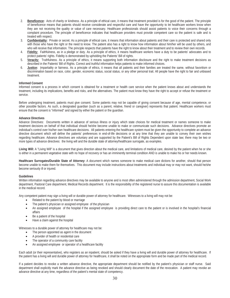- 2. **Beneficence:** Acts of charity or kindness. As a principle of ethical care, it means that treatment provided is for the good of the patient. The principle of beneficence means that patients should receive considerate and respectful care and have the opportunity to let healthcare workers know when they are not receiving the quality or value of care necessary. Healthcare professionals should assist patients to voice their concerns through a complaint procedure. The principle of beneficence indicates that healthcare providers must provide competent care so the patient is safe and is treated with respect.
- 3. **Confidentiality:** Private or secret. As a principle of ethical care, it means that information about patients and their care is protected and shared only with those who have the right or the need to know. The patient also has a right to know how information about him/her will be used by others, and who will receive that information. The principle respects that patients have the right to know about their treatment and to review their own records.
- 4. **Fidelity:** Faithfulness, as in a pledge or duty. As a principle of ethics, it means healthcare workers have a duty to be patients' advocates and to protect patients' rights. Fidelity is demonstrated by upholding the Patients' Bill of rights.
- 5. **Veracity:** Truthfulness. As a principle of ethics, it means supporting both information disclosure and the right to make treatment decisions as described in the Patients' Bill of Rights. Correct and truthful information helps patients to make informed choices.
- 6. **Justice:** Impartiality or fairness. As a principle of ethics, it means that all patients and their families are treated the same, without favoritism or discrimination based on race, color, gender, economic status, social status, or any other personal trait. All people have the right to fair and unbiased treatment.

#### **Informed Consent**

Informed consent is a process in which consent is obtained for a treatment or health care service when the patient knows about and understands the treatment, including its implications, benefits and risks, and the alternatives. The patient must know they have the right to accept or refuse the treatment or service.

Before undergoing treatment, patients must give consent. Some patients may not be capable of giving consent because of age, mental competence, or other possible factors. As such, a designated guardian (such as a parent, relative, friend or caregiver) represents that patient. Healthcare workers must ensure that the consent is "informed" and signed by either the patient or the guardian.

#### **Advance Directives**

Advance Directives: Documents written in advance of serious illness or injury which state choices for medical treatment or names someone to make treatment decisions on behalf of that individual should he/she become unable to make or communicate such decisions. Advance directives promote an individual's control over his/her own healthcare decisions. All patients entering the healthcare system must be given the opportunity to complete an advance directive document which will define the patients' preferences in end-of-life decisions or at any time that they are unable to convey their own wishes regarding healthcare. Advance directives are voluntary and are supported by the Patient's Bill of Rights Dependent upon state law; there may be two or more types of advance directives: the living will and the durable state of attorney/healthcare surrogate, as examples.

Living Will: A "Living Will" is a document that gives direction about the medical care, and limitations of medical care, desired by the patient when he or she is either in a permanent vegetative state with no hope of recovery or has an imminently terminal condition AND is unable to make his or her needs known.

**Healthcare Surrogates/Durable State of Attorney:** A document which names someone to make medical care dictions for another, should that person become unable to make them for themselves. This document may include instructions about treatments and individual may or may not want, should he/she become seriously ill or injured.

#### **Guidelines**

Written information regarding advance directives may be available to anyone and is most often administered through the admission department, Social Work department, Pastoral Care department, Medical Records department. It is the responsibility of the registered nurse to assure this documentation is available in the medical record.

Any competent patient may sign a living will or durable power of attorney for healthcare. Witnesses to a living will may not be:

- Related to the patient by blood or marriage
- The patient's physician or assigned employee of the physician
- An assigned employee of the hospital if the assigned employee is providing direct care to the patient or is involved in the hospital's financial affairs
- Be a patient of the hospital
- Have a claim against the hospital

Witnesses to a durable power of attorney for healthcare may not be:

- The person appointed as agent in the document
- A provider of health or residential care
- The operator of a community care facility
- An assigned employee or operator of a healthcare facility

Each adult (or their representative), who registers as an inpatient, should be asked if they have a living will and durable power of attorney for healthcare. If the patient has a living will and durable power of attorney for healthcare, it shall be noted on the appropriate form and be made part of the medical record.

If a patient decides to revoke a written advance directive, the appropriate department should be notified by the patient's physician or staff nurse. Said department shall explicitly mark the advance directive as being revoked and should clearly document the date of the revocation. A patient may revoke an advance directive at any time, regardless of the patient's mental state of competency.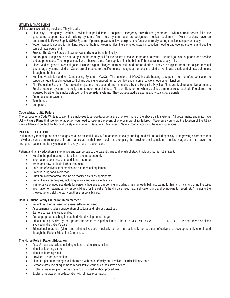#### **UTILITY MANAGEMENT**

Utilities are basic building services. They include:

- Electricity: Emergency Electrical Service is supplied from a hospital's emergency powerhouse generators. When normal service fails, the generators support essential building systems, fire safety systems and pre-designated medical equipment. Most hospitals have an Uninterruptible Power Supply (UPS) System. If permits power sensitive equipment to function normally during transitions in power supply.
- Water: Water is needed for drinking, cooking, bathing, cleaning, flushing the toilet, steam production, heating and cooling systems and cooling some clinical equipment.
- Sewer: The Sewer Service allows for waste disposal from the facility.
- Natural gas: Hospitals use natural gas as the primary fuel for the boilers to make steam and hot water. Natural gas also supports food service and lab processes. The hospital may have a backup diesel fuel supply to fire the boilers if the natural gas supply fails.
- Piped Medical gases: Medical gases include oxygen, nitrogen, nitrous oxide and carbon dioxide. They are supplied from the hospital medical gas storage systems. Medical Gases are distributed to specific outlets throughout the hospital. Medical Air is also distributed via special outlets throughout the hospital.
- Heating, Ventilation and Air Conditioning Systems (HVAC): The functions of HVAC include heating to support room comfort, ventilation to support air quality and infection control and cooling to support human comfort and in some locations, equipment function.
- Fire Protection System: Fire protection systems are operated and maintained by the Hospital's Physical Plant and Maintenance Departments. Smoke detection systems are designated to operate at all times. Fire sprinklers turn on when a defined temperature is reached. Fire alarms are triggered by either the smoke detection of fire sprinkler systems. They produce audible alarms and visual strobe signals.
- Pneumatic tube systems
- **Telephones**
- Computers

#### **Code White: Utility Failure**

The purpose of a Code White is to alert the employees to a hospital-wide failure of one or more of the above utility systems. All departments and units have Utility Failure Plans that identify what action you need to take in the event of one or more utility failures. Make sure you know the location of the Utility Failure Plan and contact the hospital Safety management, Department Manager or Safety Coordinator if you have any questions.

#### **PATIENT EDUCATION**

Patient/family teaching has been recognized as an essential activity fundamental to every nursing, medical and allied specialty. The growing awareness that individuals can be more responsible and participate in their own health is prompting the providers, policymakers, regulatory agencies and payers to strengthen patient and family education in every phase of patient care.

Patient and family education is interactive and appropriate to the patient's age and length of stay. It includes, but is not limited to:

- Helping the patient adopt or function more independently
- Information about access to additional resources
- When and how to obtain further treatment
- Safe and effective use of medication and medical equipment
- Potential drug-food interaction
- Nutrition information/counseling on modified diets as appropriate
- Rehabilitative techniques, including activity and assistive devices
- Maintenance of good standards for personal hygiene and grooming, including brushing teeth, bathing, caring for hair and nails and using the toilet
- Information on patient/family responsibilities for the patient's health care need (e.g. self-care, signs and symptoms to report, etc.) including the knowledge and skills to carry out these responsibilities.

#### **How is Patient/Family Education Implemented?**

- Patient teaching is based on assessed learning need
- Assessment includes consideration of cultural and religious practices
- Barriers to learning are identified
- Age-appropriate teaching is matched with developmental stage
- Education is provided by the appropriate health care professionals (Pharm D, MD, RN, LCSW, RD, RCP, RT, OT, SLP and other disciplines involved in the patient's care)
- Educational materials (video and print) utilized are medically current, instructionally correct, cost-effective and developmentally coordinated through the Patient Education Committee.

#### **The Nurse Role in Patient Education**

- **\*** Asses/re-assess patient including cultural and religious beliefs
- Identifies learning barriers
- Identifies learning need
- Provides in room orientation
- Plans for patient teaching in collaboration with patient/family and involves interdisciplinary team
- Demonstrates use of equipment, rehabilitative techniques, assistive devices
- x Explains treatment plan, verifies patient's knowledge about procedures
- x Explains medication in collaboration with clinical pharmacist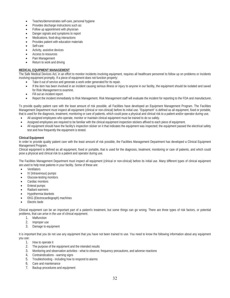- Teaches/demonstrates self-care, personal hygiene
- Provides discharge instructions such as:
- Follow up appointment with physician
- Danger signals and symptoms to report
- Medications, food-drug interactions
- Provides patient with education materials
- Self-care
- Activity, assistive devices
- Access to resources
- Pain Management
- Return to work and driving

# **MEDICAL EQUIPMENT MANAGEMENT**

The Safe Medical Devices Act, in an effort to monitor incidents involving equipment, requires all healthcare personnel to follow up on problems or incidents involving equipment promptly. If a piece of equipment does not function properly:

- Take it out of service and generate a work order generated for its repair.
- If the item has been involved in an incident causing serious illness or injury to anyone in our facility, the equipment should be isolated and saved for Risk Management to examine.
- Fill out an incident report.
- x Report the incident immediately to Risk Management. Risk Management staff will evaluate the incident for reporting to the FDA and manufacturer.

To provide quality patient care with the least amount of risk possible, all Facilities have developed an Equipment Management Program. The Facilities Management Department must inspect all equipment (clinical or non-clinical) before its initial use. "Equipment" is defined as all equipment, fixed or portable, that is used for the diagnosis, treatment, monitoring or care of patients, which could pose a physical and clinical risk to a patient and/or operator during use.

- All assigned employees who operate, monitor or maintain clinical equipment must be trained to do so safely.
- Assigned employees are required to be familiar with the clinical equipment inspection stickers affixed to each piece of equipment.
- x All equipment should have the facility's inspection sticker on it that indicates the equipment was inspected; the equipment passed the electrical safety test and how frequently the equipment is tested.

# **Clinical Equipment**

In order to provide quality patient care with the least amount of risk possible, the Facilities Management Department has developed a Clinical Equipment Management Program.

Clinical equipment is defined as all equipment, fixed or portable, that is used for the diagnosis, treatment, monitoring or care of patients, and which could pose a physical and clinical risk to a patient and operator during use.

The Facilities Management Department must inspect all equipment (clinical or non-clinical) before its initial use. Many different types of clinical equipment are used to help treat patients in your facility. Some of these are:

- **Ventilators**
- IV (Intravenous) pumps
- Glucose-testing monitors
- Cardiac monitors
- Enteral pumps
- Radiant warmers
- x Hypothermia blankets
- EKG (Electrocardiograph) machines
- x Electric beds

Clinical equipment can be an important part of a patient's treatment, but some things can go wrong. There are three types of risk factors, or potential problems, that can arise in the use of clinical equipment:

- 1. Malfunction
- 2. Improper use
- 3. Damage to equipment

It is important that you do not use any equipment that you have not been trained to use. You need to know the following information about any equipment you use:

- 1. How to operate it
- 2. The purpose of the equipment and the intended results
- 3. Monitoring and observation activities what to observe, frequency precautions, and adverse reactions
- 4. Contraindications warning signs
- 5. Troubleshooting including how to respond to alarms
- 6. Care and maintenance
- 7. Backup procedures and equipment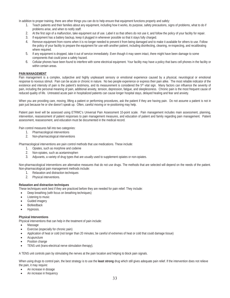In addition to proper training, there are other things you can do to help ensure that equipment functions properly and safely:

- 1. Teach patients and their families about any equipment, including how it works, its purpose, safety precautions, signs of problems, what to do if problems arise, and when to notify staff.
- 2. At the first sign of a malfunction, take equipment out of use. Label it so that others do not use it, and follow the policy of your facility for repair.
- 3. If equipment has a battery backup, keep it plugged in whenever possible so that it stays fully charged.
- 4. Remove equipment from rooms when it is no longer needed to prevent it from being damaged and to make it available for others to use. Follow the policy of your facility to prepare the equipment for use with another patient, including disinfecting, cleaning, re-inspecting, and recalibrating where required.
- 5. If any equipment is dropped, take it out of service immediately. Even though it may seem intact, there might have been damage to some components that could pose a safety hazard.
- 6. Cellular phones have been found to interfere with some electrical equipment. Your facility may have a policy that bans cell phones in the facility or within certain areas.

## **PAIN MANAGEMENT**

Pain management is a complex, subjective and highly unpleasant sensory or emotional experience caused by a physical, neurological or emotional response to noxious stimuli. Pain can be acute or chronic in nature. No two people experience or express their pain alike. The most reliable indicator of the existence and intensity of pain is the patient's testimony, and its measurement is considered the 5<sup>th</sup> vital sign. Many factors can influence the severity of pain, including the personal meaning of pain, additional anxiety, tension, depression, fatigue, and sleeplessness. Chronic pain is the most frequent cause of reduced quality of life. Untreated acute pain in hospitalized patients can cause longer hospital stays, delayed healing and fear and anxiety.

When you are providing care, moving, lifting a patient or performing procedures, ask the patient if they are having pain. Do not assume a patient is not in pain just because he or she doesn't speak up. Often, careful moving or re-positioning may help.

Patient pain level will be assessed using ETRMC's Universal Pain Assessment 10-point scale. Pain management includes main assessment, planning, intervention, reassessment of patient responses to pain management measures, and education of patient and family regarding pain management. Patient assessment, reassessment, and education must be documented in the medical record.

Pain control measures fall into two categories:

- 1. Pharmacological interventions
- 2. Non-pharmacological interventions

Pharmacological interventions are pain control methods that use medications. These include:

- 1. Opiates, such as morphine and codeine
- 2. Non-opiates, such as acetaminophen
- 3. Adjuvants, a variety of drug types that are usually used to supplement opiates or non-opiates.

Non-pharmacological interventions are alternative measures that do not use drugs. The methods that are selected will depend on the needs of the patient. Non-pharmacological pain management methods include:

- 1. Relaxation and distraction techniques
- 2. Physical interventions.
- 

**Relaxation and distraction techniques** These techniques work best if they are practiced before they are needed for pain relief. They include:

- Deep breathing (with focus on breathing techniques)
- Listening to music
- Guided imagery
- **Biofeedback**
- Hypnosis.

#### **Physical Interventions**

Physical interventions that can help in the treatment of pain include:

- Massage
- Exercise (especially for chronic pain)
- x Application of heat or cold (not longer than 20 minutes; be careful of extremes of heat or cold that could damage tissue)
- Acupuncture
- Position change
- TENS unit (trans-electrical nerve stimulation therapy).

A TENS unit controls pain by stimulating the nerves at the pain location and helping to block pain signals.

When using drugs to control pain, the best strategy is to use the **least strong** drug which still gives adequate pain relief. If the intervention does not relieve the pain, it may require:

- An increase in dosage
- An increase in frequency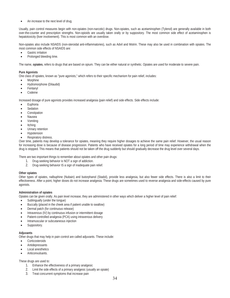An increase to the next level of drug.

Usually, pain control measures begin with non-opiates (non-narcotic) drugs. Non-opiates, such as acetaminophen (Tylenol) are generally available in both over-the-counter and prescription strengths. Non-opioids are usually taken orally or by suppository. The most common side effect of acetaminophen is hepatotoxicity (liver involvement). This is most common with an overdose.

Non-opiates also include NSAIDS (non-steroidal anti-inflammatories), such as Advil and Motrin. These may also be used in combination with opiates. The most common side effects of NSAIDS are:

- Gastric irritation
- Prolonged bleeding time.

The name, **opiates**, refers to drugs that are based on opium. They can be either natural or synthetic. Opiates are used for moderate to severe pain.

# **Pure Agonists**

One class of opiates, known as "pure agonists," which refers to their specific mechanism for pain relief, includes:

- **Morphine**
- Hydromorphone (Dilaudid)
- Fentanyl
- Codeine

Increased dosage of pure agonists provides increased analgesia (pain relief) and side effects. Side effects include:

- Euphoria
- **Sedation**
- Constipation
- **Nausea**
- **V**omiting
- **Itching**
- Urinary retention
- **Hypotension**
- Respiratory distress.

Over time, patients may develop a tolerance for opiates, meaning they require higher dosages to achieve the same pain relief. However, the usual reason for increasing dose is because of disease progression. Patients who have received opiates for a long period of time may experience withdrawal when the drug is stopped. This means that patients should not be taken off the drug suddenly but should gradually decrease the drug level over several days.

There are two important things to remember about opiates and other pain drugs:

- 1. Drug-seeking behavior is NOT a sign of addiction.
- 2. Drug-seeking behavior IS a sign of inadequate pain relief.

#### **Other opiates**

Other types of opiates, nalbuphine (Nubain) and butorphanol (Stadol), provide less analgesia, but also fewer side effects. There is also a limit to their effectiveness. After a point, higher doses do not increase analgesia. These drugs are sometimes used to reverse analgesia and side-effects caused by pure agonists.

#### **Administration of opiates**

Opiates can be given orally. As pain level increase, they are administered in other ways which deliver a higher level of pain relief:

- Sublingually (under the tongue)
- Buccally (placed in the cheek area if patient unable to swallow)
- Dermal patch (for continuous release)
- Intravenous (IV) by continuous infusion or intermittent dosage
- Patient-controlled analgesia (PCA) using intravenous delivery
- Intramuscular or subcutaneous injection
- Suppository.

#### **Adjuvants**

Other drugs that may help in pain control are called adjuvants. These include:

- Corticosteroids
- **Antidepressants**
- Local anesthetics
- Anticonvulsants.

# These drugs are used to:

- 1. Enhance the effectiveness of a primary analgesic
- 2. Limit the side effects of a primary analgesic (usually an opiate)
- 3. Treat concurrent symptoms that increase pain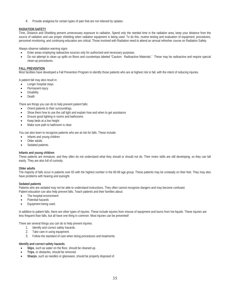4. Provide analgesia for certain types of pain that are not relieved by opiates.

# **RADIATION SAFETY**

Time, Distance and Shielding prevent unnecessary exposure to radiation. Spend only the needed time in the radiation area, keep your distance from the source of radiation and use proper shielding when radiation equipment is being used. To do this, routine testing and evaluation of equipment, procedures, personnel monitoring, and continuing education are critical. Those involved with Radiation need to attend an annual refresher course on Radiation Safety.

Always observe radiation warning signs

- Enter areas employing radioactive sources only for authorized and necessary purposes.
- Do not attempt to clean up spills on floors and countertops labeled "Caution: Radioactive Materials." These may be radioactive and require special clean-up procedures.

# **FALL PREVENTION**

Most facilities have developed a Fall Prevention Program to identify those patients who are at highest risk to fall, with the intent of reducing injuries.

A patient fall may also result in:

- Longer hospital stays
- Permanent injury
- **Disability**
- Death

There are things you can do to help prevent patient falls:

- x Orient patients to their surroundings.
- Show them how to use the call light and explain how and when to get assistance
- x Ensure good lighting in rooms and bathrooms
- x Keep beds at a low height
- Make sure path to bathroom is clear

You can also learn to recognize patients who are at risk for falls. These include:

- Infants and young children
- Older adults
- Sedated patients.

#### **Infants and young children**

These patients are immature, and they often do not understand what they should or should not do. Their motor skills are still developing, so they can fall easily. They are also full of curiosity.

#### **Older adults**

The majority of falls occur in patients over 65 with the highest number in the 80-89 age group. These patients may be unsteady on their feet. They may also have problems with hearing and eyesight.

#### **Sedated patients**

Patients who are sedated may not be able to understand instructions. They often cannot recognize dangers and may become confused.

- Patient education can also help prevent falls. Teach patients and their families about:
- The hospital environment
- Potential hazards
- Equipment being used.

In addition to patient falls, there are other types of injuries. These include injuries from misuse of equipment and burns from hot liquids. These injuries are less frequent than falls, but all have one thing in common: Most injuries can be prevented!

There are several things you can do to help prevent injuries:

- 1. Identify and correct safety hazards.
- 2. Take care in using equipment.
- 3. Follow the standard of care when doing procedures and treatments.

# **Identify and correct safety hazards**

- Slips, such as water on the floor, should be cleaned up.
- Trips, or obstacles, should be removed.
- Sharps, such as needles or glassware, should be properly disposed of.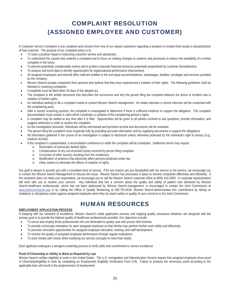# COMPLAINT RESOLUTION (ASSIGNED EMPLOYEE AND CUSTOMER)

A Customer Service Complaint is any complaint and concern from one of our valued customers regarding a situation or incident that results in dissatisfaction of that customer. The purpose of our complaint policy is to:

- To have a positive impact in improving customer service and satisfaction.
- To understand the causes that underlie a complaint and to focus on making changes to systems and processes to reduce the probability of a similar complaint in the future.
- To prevent potentially compensable events and to protect corporate financial resources potentially jeopardized by customer dissatisfaction.
- To analyze and trend data to identify opportunities for organizational performance improvement.
- All assigned employees and internal office staff are entitled to full and equal accommodations, advantages, facilities, privileges and services provided by the company.
- Mission Search accepts complaints from persons who believe that they have experienced a violation of their rights. The following guidelines shall be followed in resolving complaints.
- Complaints must be filed within 30 days of the alleged act.
- The complaint is the written document that describes the occurrence and why the person filing the complaint believes the action or incident was in violation of his/her rights.
- An individual seeking to file a complaint needs to contact Mission Search management. An intake interview or phone interview will be conducted with the complaining party.
- After a careful screening process, the complaint is investigated to determine if there is sufficient evidence to support the allegation. The complaint documentation must contain a claim which constitutes a violation of the complaining person's rights.
- x A complaint may be settled at any time after it is filed. Opportunities will be given to all parties involved to ask questions, provide information, and suggest witnesses in order to resolve the complaint.
- As the investigation proceeds, individuals will be interviewed and pertinent records and documents will be reviewed.
- The person filing the complaint must cooperate fully by providing accurate information and by supplying documents to support the allegations.
- All information gathered in the course of an investigation is subject to disclosure unless otherwise protected by the individual's right to privacy (e.g., medical records).
- If the complaint is substantiated, a reconciliation conference to settle the complaint will be scheduled. Settlement terms may require:
	- o Restoration of previously denied rights.
		- o Compensation of any out-of-pocket losses incurred by person filing complaint
		- o Correction of other harm(s) resulting from the violation(s).
		- o Modification of practices that adversely affect persons protected under law
		- o Other actions to eliminate the effects of violation of rights.

Our goal is always to provide you with a consistent level of service. If for any reason you are dissatisfied with our service or the service, we encourage you to contact the Mission Search Management to discuss the issue. Mission Search has processes in place to resolve complaints effectively and efficiently. If the resolution does not meet your expectation, we encourage you to call the Mission Search corporate office at (800) 410-2009. A corporate representative will work with you to resolve your concern. Any individual that has a concern about the quality and safety of patient care delivered by Mission Search healthcare professionals, which has not been addressed by Mission Search management, is encouraged to contact the Joint Commission at www.jointcommission.org or by calling the Office of Quality Monitoring at 630.792.5636. Mission Search demonstrates this commitment by taking no retaliatory or disciplinary action against assigned employee when they do report safety or quality of care concerns to the Joint Commission.

# HUMAN RESOURCES

#### **EMPLOYMENT APPLICATION PROCESS**

In keeping with our standard of excellence, Mission Search's initial application process and ongoing quality assurance initiatives are designed with the primary goal is to provide the highest quality of healthcare professionals possible. Our objectives include:

- To recruit and employ those professionals who are dedicated to quality care with proven skill histories.
- To provide a thorough orientation for each assigned employee so that he/she may perform his/her work safely and effectively.
- To promote consistent opportunities for assigned employee education, training, and staff development.
- To monitor the quality of assigned employee performance through regular evaluations
- To work closely with clients while modifying our service concepts to meet their needs.

Each applicant undergoes a stringent screening process to verify skills and commitment to service excellence.

# **Proof of Citizenship or Ability to Work as Required by Law**

Mission Search verifies eligibility to work in the United States. The U.S. Immigration and Naturalization Service require that assigned employee show proof of citizenship/eligibility to work by completing an Employment Eligibility Verification Form (I-9). Failure to produce the necessary proof according to the applicable laws will result in the postponement of employment.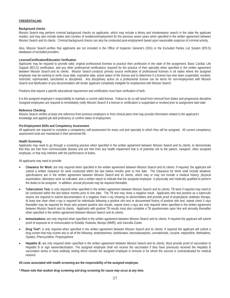# **CREDENTIALING**

#### **Background checks**

Mission Search may perform criminal background checks on applicants, which may include a felony and misdemeanor search in the state the applicant resides, and may also include states and counties of residence/employment for the previous seven years when specified in the written agreement between Mission Search and its clients. Criminal background checks can also be conducted post-employment based upon reasonable suspicion of criminal activity.

Also, Mission Search verifies that applicants are not included in the Office of Inspector General's (OIG) or the Excluded Parties List System (EPLS) databases of excluded providers.

#### **License/Certification/Education Verification**

Applicants may be required to provide valid, original professional licenses to practice their profession in the state of the assignment, Basic Cardiac Life Support (BCLS) certification, and any other professional certifications required for the practice of their specialty when specified in the written agreement between Mission Search and its clients. Mission Search conducts primary source verification of professional licenses in all states where the assigned employee may be working to verify issue date, expiration date, active status of the license and to determine if a license has ever been suspended, revoked, restricted, reprimanded, sanctioned or disciplined. Any disciplinary action on a professional license can be terms for non-employment with Mission Search and falsification of any documentation will render applicant completely ineligible for employment with Mission Search.

Positions that require a specific educational requirement and certification must have verification of both.

It is the assigned employee's responsibility to maintain a current valid license. Failure to do so will result from removal from duties and progressive discipline. Assigned employees are required to immediately notify Mission Search if a license or certification is suspended or revoked prior to assignment start date.

#### **Reference Checking**

Mission Search verifies at least one reference from previous employers or from clinical peers that may provide information related to the applicant's knowledge and applied job skill proficiency or confirm dates of employment.

#### **Pre-Employment Skills and Competency Assessment**

All applicants are required to complete a competency self-assessment for every unit and specialty to which they will be assigned. All current competency assessment tools are maintained in their personnel file.

#### **Health Screening**

Applicants may need to go through a screening process when specified in the written agreement between Mission Search and its clients, to demonstrate that they are free from communicable disease and are free from any health impairment that is of potential risk to the patient, caregiver, other assigned employee, or that may interfere with the performance of duties.

All applicants may need to provide:

- x **Clearance for Work:** are only required when specified in the written agreement between Mission Search and its clients. If required, the applicant will submit a written clearance for work conducted within the last twelve months prior to hire date. The Clearance for Work shall include whatever specifications are in the written agreement between Mission Search and its clients, which may or may not include a medical history, physical examination, laboratory work as indicated, and a written report to indicate that the assigned employee is physically and medically qualified to perform the duties to be assigned. In addition, annual physicals may be required thereafter.
- x **Tuberculosis Test:** is only required when specified in the written agreement between Mission Search and its clients. TB tests if required may need to be conducted within the last twelve months prior to hire date. The TB test may show a negative result. Applicants who test positive as a tuberculin reactor are required to submit documentation of a negative chest x-ray showing no abnormalities and provide proof of prophylactic antibiotic therapy. At least one clear chest x-ray is required for individuals following a positive skin test or documented history of positive skin test, repeat chest X rays thereafter may be required for those who present positive skin results, repeat chest x-rays are only required when specified in the written agreement between Mission Search and its clients. Applicants with positive TB results must also complete a TB questionnaire upon hire and annually thereafter when specified in the written agreement between Mission Search and its clients.
- x **Immunizations:** are only required when specified in the written agreement between Mission Search and its clients. If required the applicant will submit proof of exposure to or immunization to Rubella, Rubeola, Mumps (MMR), and Varicella Zoster.
- x **Drug Test\*:** is only required when specified in the written agreement between Mission Search and its clients. If required the applicant will submit a drug screen that may screen any or all of the following: amphetamines, barbiturates, benzodiazepines, cannabinoids, cocaine, meperidine, Methadone, Opiates, Phencyclidine, Propoxyphene
- x **Hepatitis B:** are only required when specified in the written agreement between Mission Search and its clients. Must provide proof of vaccination to Hepatitis B or sign waiver/declination. The assigned employee shall not receive the vaccination if they have previously received the Hepatitis B vaccination series or have antibody resting which reveals the assigned employee is immune or for whom the vaccine is contraindicated for medical reasons.

#### **All costs associated with health screening are the responsibility of the assigned employee.**

*\* Please note that random drug screening and drug screening for cause may occur at any time.*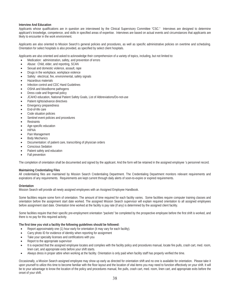# **Interview And Education**

Applicants whose qualifications are in question are interviewed by the Clinical Supervisory Committee "CSC." Interviews are designed to determine applicant's knowledge, competence, and skills in specified areas of expertise. Interviews are based on actual events and circumstances that applicants are likely to encounter in the work environment.

Applicants are also oriented to Mission Search's general policies and procedures, as well as specific administrative policies on overtime and scheduling. Orientation for select hospitals is also provided, as specified by select client hospitals.

Applicants are also oriented and asked to acknowledge their comprehension of a variety of topics, including, but not limited to:

- Medication: administration, safety, and prevention of errors
- Abuse: Child, elder, and reporting, SCAN
- Sexual and domestic violence, assault, rape
- Drugs in the workplace, workplace violence
- Safety: electrical, fire, environmental, safety signals
- Hazardous materials
- x Infection control and CDC Hand Guidelines
- OSHA and bloodborne pathogens
- Dress code and fingernail policy
- JCAHO education, National Patient Safety Goals, List of Abbreviations/Do-not-use
- Patient rights/advance directives
- Emergency preparedness
- End-of-life care
- Code situation policies
- Sentinel event policies and procedures
- **Restraints**
- Age-specific education
- **HIPAA**
- Pain Management
- **Body Mechanics**
- Documentation: of patient care, transcribing of physician orders
- Conscious Sedation
- Patient safety and education
- Fall prevention

The completion of orientation shall be documented and signed by the applicant. And the form will be retained in the assigned employee 's personnel record.

#### **Maintaining Credentialing Files**

All credentialing files are maintained by Mission Search Credentialing Department. The Credentialing Department monitors relevant requirements and expirations of any requirements. Requirements are kept current through daily alerts of soon-to-expire or expired requirements.

#### **Orientation**

Mission Search will provide all newly assigned employees with an Assigned Employee Handbook.

Some facilities require some form of orientation. The amount of time required for each facility varies. Some facilities require computer training classes and orientation before the assignment start date worked. The assigned Mission Search supervisor will explain required orientation to all assigned employees before assignment start date. Orientation time worked at the facility is pay rate (if any) is determined by the assigned client facility.

Some facilities require that their specific pre-employment orientation "packets" be completed by the prospective employee before the first shift is worked, and there is no pay for this required activity.

#### **The first time you visit a facility the following guidelines should be followed:**

- Report approximately one (1) hour early for orientation (it may vary for each facility).
- Carry photo ID for evidence of identity when reporting for assignment
- Take your specialty licenses and certifications with you
- Report to the appropriate supervisor
- It is expected that the assigned employee locates and complies with the facility policy and procedures manual, locate fire pulls, crash cart, med. room, linen cart, and appropriate exits before your shift starts.
- Always dress in proper attire when working at the facility. Orientation is only paid when facility staff has properly verified the time.

Occasionally, a Mission Search assigned employee may show up early as directed for orientation shift and no one is available for orientation. Please take it upon yourself to utilize this time to become familiar with the floor layout and the location of vital items you may need to function effectively on your shift. It will be to your advantage to know the location of the policy and procedures manual, fire pulls, crash cart, med. room, linen cart, and appropriate exits before the onset of your shift.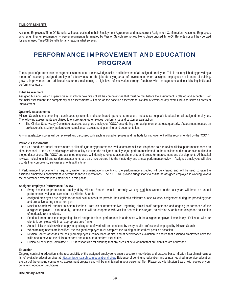#### **TIME-OFF BENEFITS**

Assigned Employees Time-Off Benefits will be as outlined in their Employment Agreement and most current Assignment Confirmation. Assigned Employees who resign their employment or whose employment is terminated by Mission Search are not eligible to utilize unused Time-Off Benefits nor will they be paid for any unused Time-Off Benefits for any reasons what so ever.

# PERFORMANCE IMPROVEMENT AND EDUCATION PROGRAM

The purpose of performance management is to enhance the knowledge, skills, and behaviors of all assigned employee. This is accomplished by providing a means of measuring assigned employees' effectiveness on the job; identifying areas of development where assigned employees are in need of training, growth, improvement and additional resources; maintaining a high level of motivation through feedback with management and establishing individual performance goals.

#### **Initial Assessment**

Assigned Mission Search supervisors must inform new hires of all the competencies that must be met before the assignment is offered and accepted. For the initial assessment, the competency self-assessments will serve as the baseline assessment. Review of errors on any exams will also serve as areas of improvement.

#### **Quarterly Assessments**

Mission Search is implementing a continuous, systematic and coordinated approach to measure and assess hospital's feedback on all assigned employees. The following assessments are utilized to ensure assigned employee performance and customer satisfaction:

The Clinical Supervisory Committee assesses assigned employees "CSC," once during their assignment or at least quarterly. Assessment focuses on professionalism, safety, patient care, compliance, assessment, planning, and documentation.

Any unsatisfactory scores will be reviewed and discussed with each assigned employee and methods for improvement will be recommended by the "CSC."

#### **Periodic Assessments**

The "CSC" conducts annual assessments of all staff. Quarterly performance evaluations are solicited via phone calls to review clinical performance based on client feedback. The "CSC" and assigned client facility evaluate the assigned employee job performance based on the functions and standards as outlined in the job descriptions. The "CSC" and assigned employee will identify strengths, accomplishments, and areas for improvement and development. All hospital reviews, including initial and random assessments, are also incorporated into the ninety-day and annual performance review. Assigned employees will also update their competency self-assessments at this time.

If Performance Improvement is required, written recommendations identifying the performance expected will be created and will be used to gain the assigned employee's commitment to perform to those expectations. The "CSC" will provide suggestions to assist the assigned employee in working toward the performance expectations established in this phase.

#### **Assigned employee Performance Review**

- Every healthcare professional employed by Mission Search, who is currently working and has worked in the last year, will have an annual performance evaluation carried out by Mission Search.
- Assigned employees are eligible for annual evaluations if the provider has worked a minimum of one 13-week assignment during the preceding year and are active during the current year.
- Mission Search will attempt to obtain feedback from client representatives regarding clinical staff competence and ongoing performance of the assigned employee. Unfortunately, some clients will not cooperate with Mission Search in this regard, so Mission Search conducts phone solicitation of feedback from its clients.
- Feedback from our clients regarding clinical and professional performance is addressed with the assigned employee immediately. Follow-up with our clients is completed within an appropriate time frame.
- x Annual skills checklists which apply to specialty area of work will be completed by every health professional employed by Mission Search
- When training needs are identified, the assigned employee must complete the training at the earliest possible occasion.
- Mission Search assesses the assigned employees' competence at hire, and at performance evaluation to ensure that assigned employees have the skills or can develop the skills to perform and continue to perform their duties.
- Clinical Supervisory Committee "CSC" is responsible for ensuring that any areas of development that are identified are addressed.

#### **Education**

Ongoing continuing education is the responsibility of the assigned employee to ensure a current knowledge and practice base. Mission Search maintains a list of available education sites at https://missionsearch.com/educational-sites/ Evidence of continuing education and annual required in-service education are part of the ongoing competency assessment program and will be maintained in your personnel file. Please provide Mission Search with copies of your continuing education certificates.

#### **Disciplinary Action**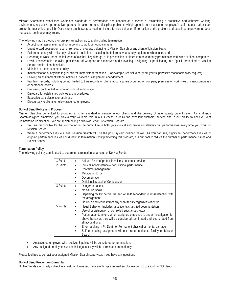Mission Search has established workplace standards of performance and conduct as a means of maintaining a productive and cohesive working environment. A positive, progressive approach is taken to solve discipline problems, which appeals to an assigned employee's self-respect, rather than create the fear of losing a job. Our system emphasizes correction of the offensive behavior. If correction of the problem and sustained improvement does not occur, termination may result.

The following may be grounds for disciplinary action, up to and including termination:

- Accepting an assignment and not reporting to work or not notifying us.
- x Unauthorized possession, use, or removal of property belonging to Mission Search or any client of Mission Search
- Failure to comply with all safety rules and regulations, including the failure to wear safety equipment when instructed.
- Reporting to work under the influence of alcohol, illegal drugs, or in possession of either item on company premises or work sites of client companies.
- Lewd, unacceptable behavior, possession of weapons or explosives and provoking, instigating or participating in a fight is prohibited at Mission Search and its client hospitals.
- Violation of the harassment policy.
- x Insubordination of any kind is grounds for immediate termination. (For example, refusal to carry out your supervisor's reasonable work request).
- Leaving an assignment without notice i.e. patient or assignment abandonment.
- Falsifying records, including but not limited to time records or claims about injuries occurring on company premises or work sites of client companies or personnel records.
- Disclosing confidential information without authorization.
- Disregard for established policies and procedures.
- x Excessive cancellations or tardiness.
- Discourtesy to clients or fellow assigned employee.

#### **Do Not Send Policy and Process**

Mission Search is committed to providing a higher standard of service to our clients and the delivery of safe, quality patient care. As a Mission Search assigned employee, you play a very valuable role in our success in delivering excellent customer service and in our ability to achieve Joint Commission Certification. We are implementing a "Do Not Send" Prevention Program.

- You are responsible for the information in the curriculum in both your clinical and professional/behavioral performances every time you work for Mission Search
- When a performance issue arises. Mission Search will use the point system outlined below. As you can see, significant performance issues or ongoing performance issues could result in termination. By implementing this program, it is our goal to reduce the number of performance issues and Do Not Sends.

### **Termination Policy**

The following point system is used to determine termination as a result of Do Not Sends.

| 1 Point  | Attitude / lack of professionalism / customer service                        |
|----------|------------------------------------------------------------------------------|
| 2 Points | Clinical incompetence - poor clinical performance                            |
|          | Poor time management<br>$\bullet$                                            |
|          | <b>Medication Error</b>                                                      |
|          | Documentation                                                                |
|          | Deficiencies Lack of Compassion                                              |
| 3 Points | Danger to patient.                                                           |
|          | No call No show.<br>$\bullet$                                                |
|          | Departing facility before the end of shift secondary to dissatisfaction with |
|          | the assignment.                                                              |
|          | Do Not Send request from any client facility regardless of origin            |
| 5 Points | Illegal Behavior (Includes false identity; falsified documentation,          |
|          | Use of or distribution of controlled substances, etc.)<br>$\bullet$          |
|          | Patient abandonment. When assigned employee is under investigation for       |
|          | above behavior, they will be considered terminated until exonerated from     |
|          | all accusations.                                                             |
|          | Error resulting in Pt. Death or Permanent physical or mental damage          |
|          | Self-terminating assignment without proper notice to facility or Mission     |
|          | Search                                                                       |

- An assigned employee who receives 5 points will be considered for termination.
- Any assigned employee involved in illegal activity will be terminated immediately.

Please feel free to contact your assigned Mission Search supervisor, if you have any questions

#### **Do Not Send Prevention Curriculum**

Do Not Sends are usually subjective in nature. However, there are things assigned employees can do to avoid Do Not Sends.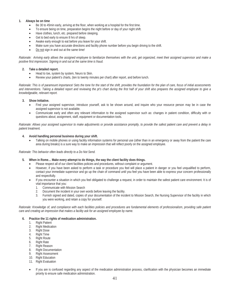# **1. Always be on time**

- Be 30 to 45min early, arriving at the floor, when working at a hospital for the first time.
- To ensure being on time, preparation begins the night before or day of your night shift.
- Have clothes, lunch, etc. prepared before sleeping.
- Get to bed early to ensure 8 hrs of sleep.
- Awake early enough to eat before you leave for your shift.
- Make sure you have accurate directions and facility phone number before you begin driving to the shift.
- Do not sign in and out at the same time!

*Rationale: Arriving early allows the assigned employee to familiarize themselves with the unit, get organized, meet their assigned supervisor and make a positive first impression. Signing in and out at the same time is fraud.* 

# **2. Take a detailed report.**

- Head to toe, system by system, Neuro to Skin.
- Review your patient's charts, (ten to twenty minutes per chart) after report, and before lunch.

*Rationale: This is of paramount importance! Sets the tone for the start of the shift, provides the foundation for the plan of care, focus of initial assessments and interventions. Taking a detailed report and reviewing the pt's chart during the first half of your shift also prepares the assigned employee to give a knowledgeable, relevant report.*

# **3. Show Initiative.**

- Find your assigned supervisor, introduce yourself, ask to be shown around, and inquire who your resource person may be in case the assigned supervisor is not available.
- Communicate early and often any relevant information to the assigned supervisor such as: changes in patient condition, difficulty with or questions about; assignment, staff, equipment or documentation tools.

*Rationale: Allows your assigned supervisor to make adjustments or provide assistance promptly, to provide the safest patient care and prevent a delay in patient treatment.*

# **4. Avoid handling personal business during your shift.**

Talking on mobile phones or using facility information systems for personal use (other than in an emergency or away from the patient the care area during breaks) is a sure way to make an impression that will reflect poorly on the assigned employee.

#### *Rationale: This behavior often leads directly to a Do Not Send.*

- **5. When in Rome… Make every attempt to do things, the way the client facility does things.** 
	- Please respect all of our client facilities policies and procedures, without complaint or argument.
	- x However, if you have been asked to perform a task or procedure you feel will place a patient in danger or you feel unqualified to perform, contact your immediate supervisor and go up the chain of command until you feel you have been able to express your concern professionally and respectfully.
	- If you encounter a situation in which you feel obligated to challenge a request, in order to maintain the safest patient care environment. It is of vital importance that you:
		- 1. Communicate with Mission Search
		- 2. Document the incident in your own words before leaving the facility.
		- 3. Furnish signed and dated, copies of your documentation of the incident to Mission Search, the Nursing Supervisor of the facility in which you were working, and retain a copy for yourself.

*Rationale: Knowledge of, and compliance with each facilities policies and procedures are fundamental elements of professionalism, providing safe patient care and creating an impression that makes a facility ask for an assigned employee by name.* 

#### **6. Practice the 11 rights of medication administration.**

- 1. Right Patient
- 2. Right Medication
- 3. Right Dose
- 4. Right Time<br>5. Right Route
- **Right Route**
- 6. Right Rate<br>7. Right Reas
- Right Reason
- 8. Right Documentation
- 9. Right Assessment
- 10. Right Education
- 11. Right Evaluation
- If you are is confused regarding any aspect of the medication administration process, clarification with the physician becomes an immediate priority to ensure safe medication administration.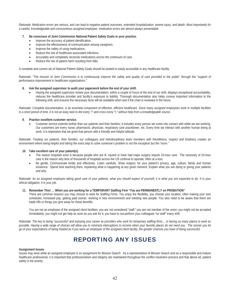*Rationale: Medication errors are serious, and can lead to negative patient outcomes, extended hospitalization, severe injury, and death. Most importantly for a careful, knowledgeable and conscientious assigned employee, medication errors are almost always preventable.*

- **7. Be conscious of Joint Commission National Patient Safety Goals in your practice.** 
	- Improve the accuracy of patient identification.
	- Improve the effectiveness of communication among caregivers.
	- Improve the safety of using medications.
	- Reduce the risk of healthcare-associated infections.
	- **•** Accurately and completely reconcile medications across the continuum of care.
	- Reduce the risk of patient harm resulting from falls.

A complete and current set of National Patient Safety Goals should be posted or easily accessible in any healthcare facility.

*Rationale: "The mission of Joint Commission is to continuously improve the safety and quality of care provided to the public" through the "support of performance improvement in healthcare organizations."*

#### **8. Ask the assigned supervisor to audit your paperwork before the end of your shift.**

x Having the assigned supervisor review your documentation, within a couple of hours of the end of our shift, displays exceptional accountability, reduces the healthcare provider and facility's exposure to liability. Thorough documentation also helps convey important information to the following shift, and ensures the necessary facts will be available when and if the chart is reviewed in the future.

*Rationale: Complete documentation, is an essential component of effective, efficient healthcare. Since many assigned employees work in multiple facilities in a short period of time, it is not an easy task to dot every "i" and cross every "t," without help from a knowledgeable source.*

#### **9. Practice excellent customer service.**

x Customer service extends further than our patients and their families; it includes every person we come into contact with while we are working. Our customers are every nurse, pharmacist, physician, respiratory care practitioner, etc. Every time we interact with another human being at work, it is imperative that we greet that person with a friendly and helpful attitude.

*Rationale: Treating our patients, their families, our colleagues and interdisciplinary team members with friendliness, respect and kindness creates an environment where being helpful and taking the extra step to solve someone's problem is not the exception but the "norm."*

#### **10. Take excellent care of your patient(s).**

- The reason hospitals exist is because people who are ill, injured or have had major surgery require 24-hour care. The necessity of 24-hour care is the reason why tens of thousands of hospitals across the US continue to operate, often at a loss.
- Be gentle. Communicate kindly and effectively. Listen carefully. Show respect, for your patient's privacy, age, culture, family and human existence. Spend time teaching them, explaining what is happening at any given moment. Explain what you are doing or giving your patients and why.

Rationale: As an assigned employee taking good care of your patients, what you should expect of yourself, it is what you are expected to do. It is your *ethical obligation. It is your job.*

#### **11. Remember This! … When you are working for a TEMPORARY Staffing Firm "You are PERMANENTLY on PROBATION"**

There are common reasons you may choose to work for Staffing Firms. You enjoy the flexibility, you choose your location, often making your own schedules, increased pay, getting paid sooner, working in new environments and meeting new people. You also need to be aware that there are trade-offs or things you give away for those benefits.

You are not an employee of the assigned client facilities; you are not considered "staff;" you are not member of the union; you might not be accepted immediately; you might not get help as soon as you ask for it; you have to out-perform your colleagues "on staff" every shift.

*Rationale: The key to being "successful" and enjoying your career as providers who work for temporary staffing firms… is having as many places to work as*  possible. Having a wide range of choices will allow you to minimize interruptions to income when your favorite places do not need you. The sooner you let *go of your expectations of being treated as if you were an employee of the assigned client facility, the greater chances you have of being successful.*

# REPORTING ANY ISSUES

#### **Assignment Issues**

Issues may arise while an assigned employee is on assignment for Mission Search As a representative of Mission Search and as a responsible and mature healthcare professional, it is important that professionalism and integrity are maintained throughout the conflict resolution process and that above all, patient safety is the priority.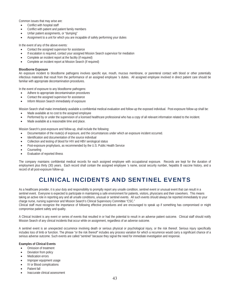Common issues that may arise are:

- Conflict with hospital staff
- Conflict with patient and patient family members
- Unfair patient assignments, or "dumping"
- Assignment to a unit for which you are incapable of safely performing your duties

In the event of any of the above events:

- Contact the assigned supervisor for assistance
- If escalation is required, contact your assigned Mission Search supervisor for mediation
- Complete an incident report at the facility (if required)
- Complete an incident report at Mission Search (if required)

## **Bloodborne Exposure**

An exposure incident to bloodborne pathogens involves specific eye, mouth, mucous membrane, or parenteral contact with blood or other potentially infectious materials that result from the performance of an assigned employee 's duties. All assigned employee involved in direct patient care should be familiar with appropriate decontamination procedures.

In the event of exposure to any bloodborne pathogens:

- Adhere to appropriate decontamination procedures
- Contact the assigned supervisor for assistance
- Inform Mission Search immediately of exposure

Mission Search shall make immediately available a confidential medical evaluation and follow-up the exposed individual. Post-exposure follow-up shall be:

- Made available at no cost to the assigned employee
- Performed by or under the supervision of a licensed healthcare professional who has a copy of all relevant information related to the incident.
- Made available at a reasonable time and place.

Mission Search's post-exposure and follow-up, shall include the following:

- Documentation of the route(s) of exposure, and the circumstances under which an exposure incident occurred.
- Identification and documentation of the source individual
- Collection and testing of blood for HIV and HBV serological status
- Post-exposure prophylaxis, as recommended by the U.S. Public Health Service
- Counseling
- Evaluation of reported illness

The company maintains confidential medical records for each assigned employee with occupational exposure. Records are kept for the duration of employment plus thirty (30) years. Each record shall contain the assigned employee 's name, social security number, hepatitis B vaccine history, and a record of all post-exposure follow-up.

# CLINICAL INCIDENTS AND SENTINEL EVENTS

As a healthcare provider, it is your duty and responsibility to promptly report any unsafe condition, sentinel event or unusual event that can result in a sentinel event. Everyone is expected to participate in maintaining a safe environment for patients, visitors, physicians and their coworkers. This means taking an active role in reporting any and all unsafe conditions, unusual or sentinel events. All such events should always be reported immediately to your charge nurse, nursing supervisor and Mission Search's Clinical Supervisory Committee "CSC."

Clinical staff must recognize the importance of following effective procedures and are encouraged to speak up if something has compromised or might compromise patient safety and quality.

A Clinical Incident is any event or series of events that resulted in or had the potential to result in an adverse patient outcome. Clinical staff should notify Mission Search of any clinical incidents that occur while on assignment, regardless of an adverse outcome.

A sentinel event is an unexpected occurrence involving death or serious physical or psychological injury, or the risk thereof. Serious injury specifically includes loss of limb or function. The phrase "or the risk thereof" includes any process variation for which a recurrence would carry a significant chance of a serious adverse outcome. Such events are called "sentinel" because they signal the need for immediate investigation and response.

# **Examples of Clinical Events**

- Omission of treatment
- Deviation from policy
- **Medication errors**
- Improper equipment usage
- x IV or Blood complications
- Patient fall
- Inaccurate clinical assessment